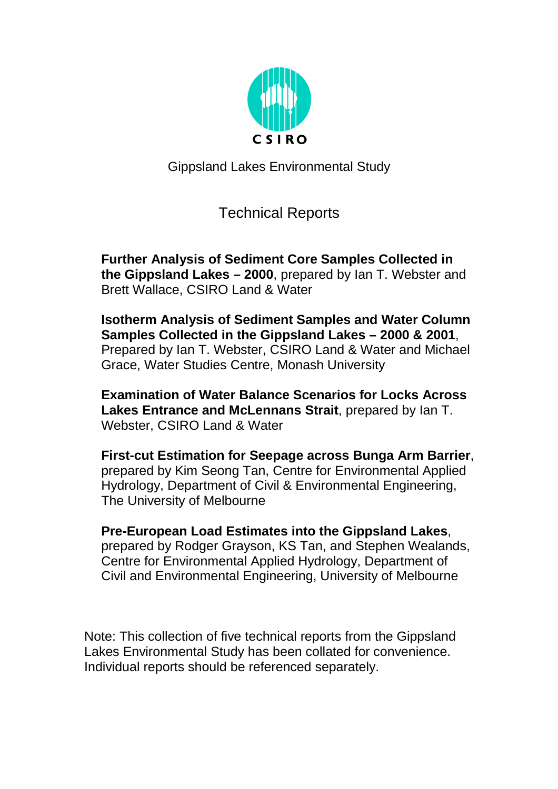

Gippsland Lakes Environmental Study

# Technical Reports

**Further Analysis of Sediment Core Samples Collected in the Gippsland Lakes – 2000**, prepared by Ian T. Webster and Brett Wallace, CSIRO Land & Water

**Isotherm Analysis of Sediment Samples and Water Column Samples Collected in the Gippsland Lakes – 2000 & 2001**, Prepared by Ian T. Webster, CSIRO Land & Water and Michael Grace, Water Studies Centre, Monash University

**Examination of Water Balance Scenarios for Locks Across Lakes Entrance and McLennans Strait**, prepared by Ian T. Webster, CSIRO Land & Water

**First-cut Estimation for Seepage across Bunga Arm Barrier**, prepared by Kim Seong Tan, Centre for Environmental Applied Hydrology, Department of Civil & Environmental Engineering, The University of Melbourne

**Pre-European Load Estimates into the Gippsland Lakes**, prepared by Rodger Grayson, KS Tan, and Stephen Wealands, Centre for Environmental Applied Hydrology, Department of Civil and Environmental Engineering, University of Melbourne

Note: This collection of five technical reports from the Gippsland Lakes Environmental Study has been collated for convenience. Individual reports should be referenced separately.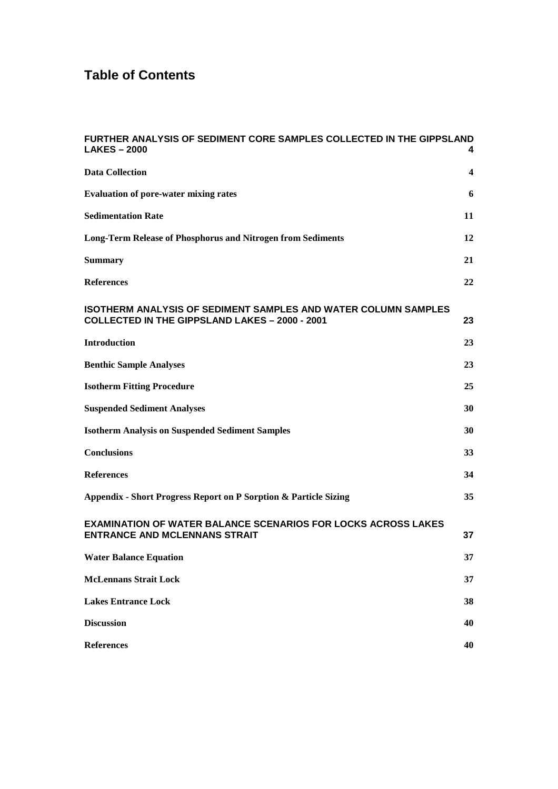# **Table of Contents**

| <b>FURTHER ANALYSIS OF SEDIMENT CORE SAMPLES COLLECTED IN THE GIPPSLAND</b><br><b>LAKES-2000</b>                               | 4  |
|--------------------------------------------------------------------------------------------------------------------------------|----|
| <b>Data Collection</b>                                                                                                         | 4  |
| <b>Evaluation of pore-water mixing rates</b>                                                                                   | 6  |
| <b>Sedimentation Rate</b>                                                                                                      | 11 |
| <b>Long-Term Release of Phosphorus and Nitrogen from Sediments</b>                                                             | 12 |
| <b>Summary</b>                                                                                                                 | 21 |
| <b>References</b>                                                                                                              | 22 |
| <b>ISOTHERM ANALYSIS OF SEDIMENT SAMPLES AND WATER COLUMN SAMPLES</b><br><b>COLLECTED IN THE GIPPSLAND LAKES - 2000 - 2001</b> | 23 |
| <b>Introduction</b>                                                                                                            | 23 |
| <b>Benthic Sample Analyses</b>                                                                                                 | 23 |
| <b>Isotherm Fitting Procedure</b>                                                                                              | 25 |
| <b>Suspended Sediment Analyses</b>                                                                                             | 30 |
| <b>Isotherm Analysis on Suspended Sediment Samples</b>                                                                         | 30 |
| <b>Conclusions</b>                                                                                                             | 33 |
| <b>References</b>                                                                                                              | 34 |
| Appendix - Short Progress Report on P Sorption & Particle Sizing                                                               | 35 |
| <b>EXAMINATION OF WATER BALANCE SCENARIOS FOR LOCKS ACROSS LAKES</b><br><b>ENTRANCE AND MCLENNANS STRAIT</b>                   | 37 |
| <b>Water Balance Equation</b>                                                                                                  | 37 |
| <b>McLennans Strait Lock</b>                                                                                                   | 37 |
| <b>Lakes Entrance Lock</b>                                                                                                     | 38 |
| <b>Discussion</b>                                                                                                              | 40 |
| <b>References</b>                                                                                                              | 40 |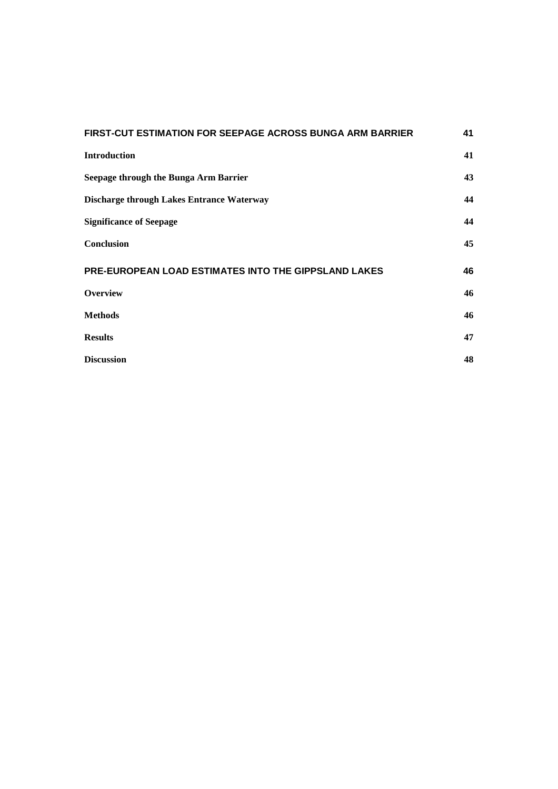| <b>FIRST-CUT ESTIMATION FOR SEEPAGE ACROSS BUNGA ARM BARRIER</b> | 41 |
|------------------------------------------------------------------|----|
| <b>Introduction</b>                                              | 41 |
| Seepage through the Bunga Arm Barrier                            | 43 |
| <b>Discharge through Lakes Entrance Waterway</b>                 | 44 |
| <b>Significance of Seepage</b>                                   | 44 |
| <b>Conclusion</b>                                                | 45 |
| PRE-EUROPEAN LOAD ESTIMATES INTO THE GIPPSLAND LAKES             | 46 |
| <b>Overview</b>                                                  | 46 |
| <b>Methods</b>                                                   | 46 |
| <b>Results</b>                                                   | 47 |
| <b>Discussion</b>                                                | 48 |
|                                                                  |    |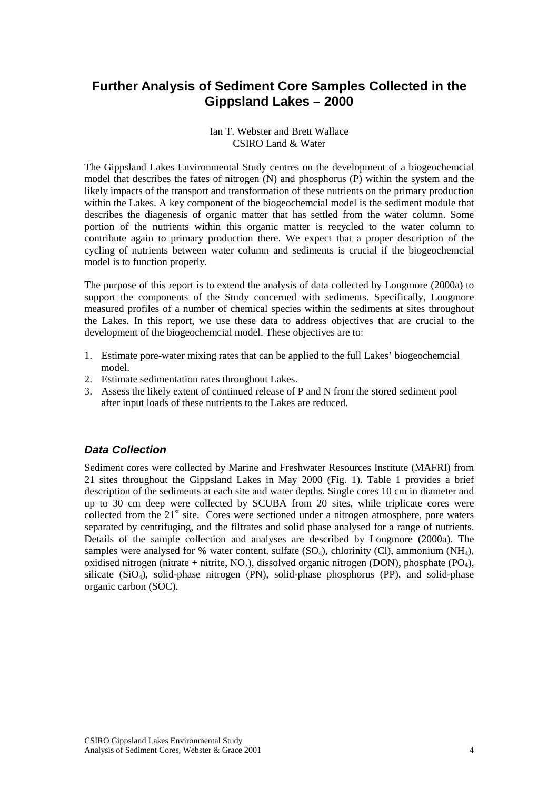# <span id="page-3-0"></span>**Further Analysis of Sediment Core Samples Collected in the Gippsland Lakes – 2000**

#### Ian T. Webster and Brett Wallace CSIRO Land & Water

The Gippsland Lakes Environmental Study centres on the development of a biogeochemcial model that describes the fates of nitrogen (N) and phosphorus (P) within the system and the likely impacts of the transport and transformation of these nutrients on the primary production within the Lakes. A key component of the biogeochemcial model is the sediment module that describes the diagenesis of organic matter that has settled from the water column. Some portion of the nutrients within this organic matter is recycled to the water column to contribute again to primary production there. We expect that a proper description of the cycling of nutrients between water column and sediments is crucial if the biogeochemcial model is to function properly.

The purpose of this report is to extend the analysis of data collected by Longmore (2000a) to support the components of the Study concerned with sediments. Specifically, Longmore measured profiles of a number of chemical species within the sediments at sites throughout the Lakes. In this report, we use these data to address objectives that are crucial to the development of the biogeochemcial model. These objectives are to:

- 1. Estimate pore-water mixing rates that can be applied to the full Lakes' biogeochemcial model.
- 2. Estimate sedimentation rates throughout Lakes.
- 3. Assess the likely extent of continued release of P and N from the stored sediment pool after input loads of these nutrients to the Lakes are reduced.

# *Data Collection*

Sediment cores were collected by Marine and Freshwater Resources Institute (MAFRI) from 21 sites throughout the Gippsland Lakes in May 2000 (Fig. 1). Table 1 provides a brief description of the sediments at each site and water depths. Single cores 10 cm in diameter and up to 30 cm deep were collected by SCUBA from 20 sites, while triplicate cores were collected from the  $21<sup>st</sup>$  site. Cores were sectioned under a nitrogen atmosphere, pore waters separated by centrifuging, and the filtrates and solid phase analysed for a range of nutrients. Details of the sample collection and analyses are described by Longmore (2000a). The samples were analysed for % water content, sulfate  $(SO<sub>4</sub>)$ , chlorinity  $(Cl)$ , ammonium  $(NH<sub>4</sub>)$ , oxidised nitrogen (nitrate + nitrite,  $NO_x$ ), dissolved organic nitrogen (DON), phosphate ( $PO_4$ ), silicate  $(SiO<sub>4</sub>)$ , solid-phase nitrogen  $(PN)$ , solid-phase phosphorus  $(PP)$ , and solid-phase organic carbon (SOC).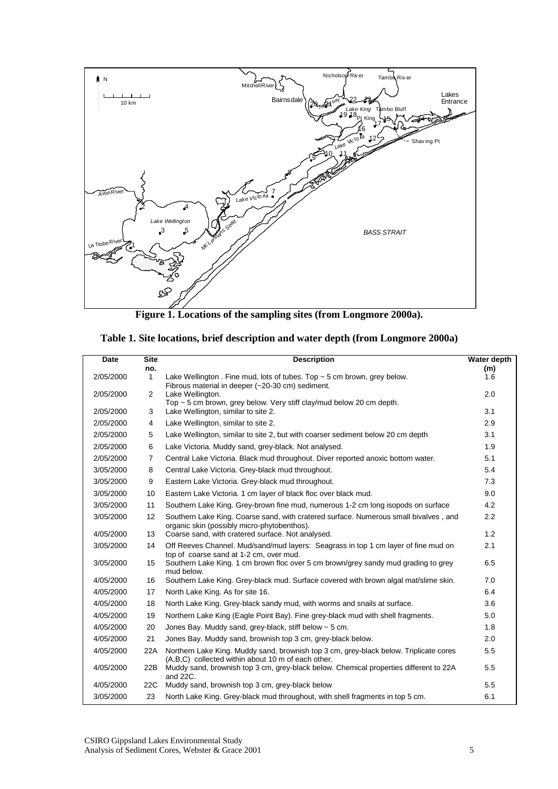

**Figure 1. Locations of the sampling sites (from Longmore 2000a).** 

| Table 1. Site locations, brief description and water depth (from Longmore 2000a) |  |  |  |
|----------------------------------------------------------------------------------|--|--|--|
|                                                                                  |  |  |  |

| Date      | <b>Site</b><br>no. | <b>Description</b>                                                                                                                          | Water depth<br>(m) |
|-----------|--------------------|---------------------------------------------------------------------------------------------------------------------------------------------|--------------------|
| 2/05/2000 | $\mathbf{1}$       | Lake Wellington . Fine mud, lots of tubes. Top $\sim$ 5 cm brown, grey below.<br>Fibrous material in deeper (~20-30 cm) sediment.           | 1.6                |
| 2/05/2000 | $\overline{2}$     | Lake Wellington.<br>Top $\sim$ 5 cm brown, grey below. Very stiff clay/mud below 20 cm depth.                                               | 2.0                |
| 2/05/2000 | 3                  | Lake Wellington, similar to site 2.                                                                                                         | 3.1                |
| 2/05/2000 | 4                  | Lake Wellington, similar to site 2.                                                                                                         | 2.9                |
| 2/05/2000 | 5                  | Lake Wellington, similar to site 2, but with coarser sediment below 20 cm depth                                                             | 3.1                |
| 2/05/2000 | 6                  | Lake Victoria. Muddy sand, grey-black. Not analysed.                                                                                        | 1.9                |
| 2/05/2000 | $\overline{7}$     | Central Lake Victoria. Black mud throughout. Diver reported anoxic bottom water.                                                            | 5.1                |
| 3/05/2000 | 8                  | Central Lake Victoria. Grey-black mud throughout.                                                                                           | 5.4                |
| 3/05/2000 | 9                  | Eastern Lake Victoria. Grey-black mud throughout.                                                                                           | 7.3                |
| 3/05/2000 | 10                 | Eastern Lake Victoria. 1 cm layer of black floc over black mud.                                                                             | 9.0                |
| 3/05/2000 | 11                 | Southern Lake King. Grey-brown fine mud, numerous 1-2 cm long isopods on surface                                                            | 4.2                |
| 3/05/2000 | 12                 | Southern Lake King. Coarse sand, with cratered surface. Numerous small bivalves, and<br>organic skin (possibly micro-phytobenthos).         | 2.2                |
| 4/05/2000 | 13                 | Coarse sand, with cratered surface. Not analysed.                                                                                           | 1.2                |
| 3/05/2000 | 14                 | Off Reeves Channel. Mud/sand/mud layers: Seagrass in top 1 cm layer of fine mud on<br>top of coarse sand at 1-2 cm, over mud.               | 2.1                |
| 3/05/2000 | 15                 | Southern Lake King. 1 cm brown floc over 5 cm brown/grey sandy mud grading to grey<br>mud below.                                            | 6.5                |
| 4/05/2000 | 16                 | Southern Lake King. Grey-black mud. Surface covered with brown algal mat/slime skin.                                                        | 7.0                |
| 4/05/2000 | 17                 | North Lake King. As for site 16.                                                                                                            | 6.4                |
| 4/05/2000 | 18                 | North Lake King. Grey-black sandy mud, with worms and snails at surface.                                                                    | 3.6                |
| 4/05/2000 | 19                 | Northern Lake King (Eagle Point Bay). Fine grey-black mud with shell fragments.                                                             | 5.0                |
| 4/05/2000 | 20                 | Jones Bay. Muddy sand, grey-black, stiff below $\sim$ 5 cm.                                                                                 | 1.8                |
| 4/05/2000 | 21                 | Jones Bay. Muddy sand, brownish top 3 cm, grey-black below.                                                                                 | 2.0                |
| 4/05/2000 | 22A                | Northern Lake King. Muddy sand, brownish top 3 cm, grey-black below. Triplicate cores<br>(A,B,C) collected within about 10 m of each other. | 5.5                |
| 4/05/2000 | 22B                | Muddy sand, brownish top 3 cm, grey-black below. Chemical properties different to 22A<br>and 22C.                                           | 5.5                |
| 4/05/2000 | 22C                | Muddy sand, brownish top 3 cm, grey-black below                                                                                             | 5.5                |
| 3/05/2000 | 23                 | North Lake King. Grey-black mud throughout, with shell fragments in top 5 cm.                                                               | 6.1                |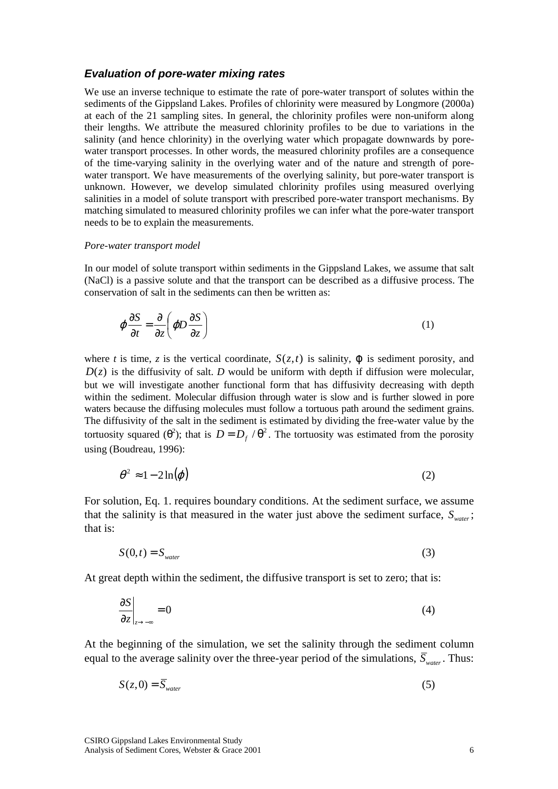#### <span id="page-5-0"></span>*Evaluation of pore-water mixing rates*

We use an inverse technique to estimate the rate of pore-water transport of solutes within the sediments of the Gippsland Lakes. Profiles of chlorinity were measured by Longmore (2000a) at each of the 21 sampling sites. In general, the chlorinity profiles were non-uniform along their lengths. We attribute the measured chlorinity profiles to be due to variations in the salinity (and hence chlorinity) in the overlying water which propagate downwards by porewater transport processes. In other words, the measured chlorinity profiles are a consequence of the time-varying salinity in the overlying water and of the nature and strength of porewater transport. We have measurements of the overlying salinity, but pore-water transport is unknown. However, we develop simulated chlorinity profiles using measured overlying salinities in a model of solute transport with prescribed pore-water transport mechanisms. By matching simulated to measured chlorinity profiles we can infer what the pore-water transport needs to be to explain the measurements.

#### *Pore-water transport model*

In our model of solute transport within sediments in the Gippsland Lakes, we assume that salt (NaCl) is a passive solute and that the transport can be described as a diffusive process. The conservation of salt in the sediments can then be written as:

$$
\varphi \frac{\partial S}{\partial t} = \frac{\partial}{\partial z} \left( \varphi D \frac{\partial S}{\partial z} \right) \tag{1}
$$

where *t* is time, *z* is the vertical coordinate,  $S(z,t)$  is salinity,  $\varphi$  is sediment porosity, and  $D(z)$  is the diffusivity of salt. *D* would be uniform with depth if diffusion were molecular, but we will investigate another functional form that has diffusivity decreasing with depth within the sediment. Molecular diffusion through water is slow and is further slowed in pore waters because the diffusing molecules must follow a tortuous path around the sediment grains. The diffusivity of the salt in the sediment is estimated by dividing the free-water value by the tortuosity squared ( $\theta^2$ ); that is  $D = D_f / \theta^2$ . The tortuosity was estimated from the porosity using (Boudreau, 1996):

$$
\theta^2 \approx 1 - 2\ln(\varphi) \tag{2}
$$

For solution, Eq. 1. requires boundary conditions. At the sediment surface, we assume that the salinity is that measured in the water just above the sediment surface,  $S_{water}$ ; that is:

$$
S(0,t) = S_{\text{water}} \tag{3}
$$

At great depth within the sediment, the diffusive transport is set to zero; that is:

$$
\left. \frac{\partial S}{\partial z} \right|_{z \to -\infty} = 0 \tag{4}
$$

At the beginning of the simulation, we set the salinity through the sediment column equal to the average salinity over the three-year period of the simulations,  $\overline{S}_{water}$ . Thus:

$$
S(z,0) = \overline{S}_{\text{water}} \tag{5}
$$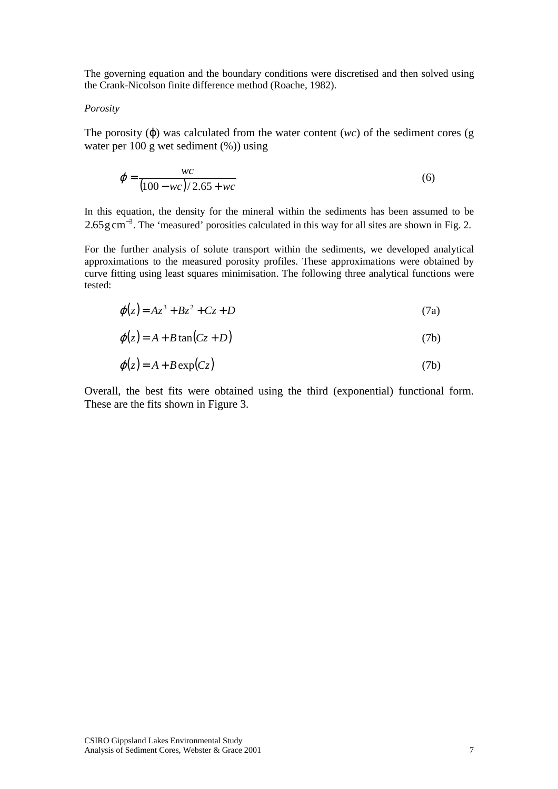The governing equation and the boundary conditions were discretised and then solved using the Crank-Nicolson finite difference method (Roache, 1982).

#### *Porosity*

The porosity  $(\varphi)$  was calculated from the water content  $(wc)$  of the sediment cores (g water per 100 g wet sediment (%)) using

$$
\varphi = \frac{wc}{(100 - wc)/2.65 + wc}
$$
 (6)

In this equation, the density for the mineral within the sediments has been assumed to be  $2.65 \text{ g cm}^{-3}$ . The 'measured' porosities calculated in this way for all sites are shown in Fig. 2.

For the further analysis of solute transport within the sediments, we developed analytical approximations to the measured porosity profiles. These approximations were obtained by curve fitting using least squares minimisation. The following three analytical functions were tested:

$$
\varphi(z) = Az^3 + Bz^2 + Cz + D \tag{7a}
$$

$$
\varphi(z) = A + B \tan(Cz + D) \tag{7b}
$$

$$
\varphi(z) = A + B \exp(Cz) \tag{7b}
$$

Overall, the best fits were obtained using the third (exponential) functional form. These are the fits shown in Figure 3.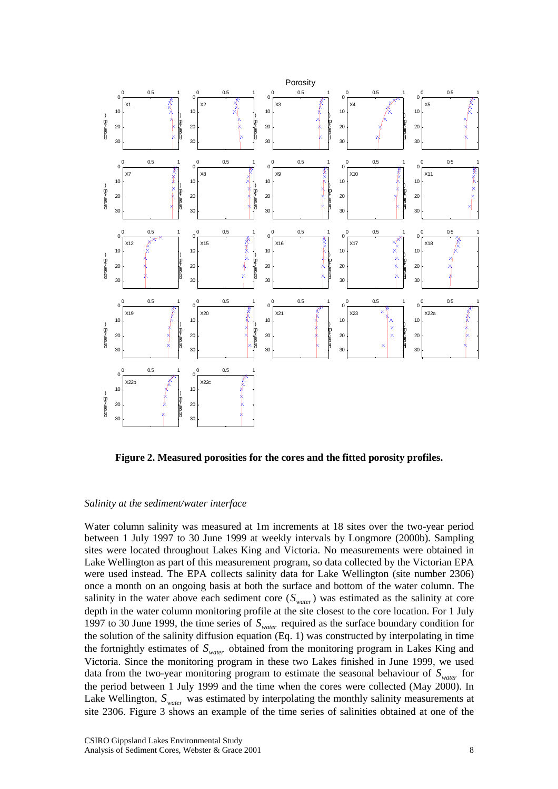

**Figure 2. Measured porosities for the cores and the fitted porosity profiles.** 

#### *Salinity at the sediment/water interface*

Water column salinity was measured at 1m increments at 18 sites over the two-year period between 1 July 1997 to 30 June 1999 at weekly intervals by Longmore (2000b). Sampling sites were located throughout Lakes King and Victoria. No measurements were obtained in Lake Wellington as part of this measurement program, so data collected by the Victorian EPA were used instead. The EPA collects salinity data for Lake Wellington (site number 2306) once a month on an ongoing basis at both the surface and bottom of the water column. The salinity in the water above each sediment core  $(S_{water})$  was estimated as the salinity at core depth in the water column monitoring profile at the site closest to the core location. For 1 July 1997 to 30 June 1999, the time series of *Swater* required as the surface boundary condition for the solution of the salinity diffusion equation (Eq. 1) was constructed by interpolating in time the fortnightly estimates of  $S_{water}$  obtained from the monitoring program in Lakes King and Victoria. Since the monitoring program in these two Lakes finished in June 1999, we used data from the two-year monitoring program to estimate the seasonal behaviour of  $S<sub>water</sub>$  for the period between 1 July 1999 and the time when the cores were collected (May 2000). In Lake Wellington,  $S_{water}$  was estimated by interpolating the monthly salinity measurements at site 2306. Figure 3 shows an example of the time series of salinities obtained at one of the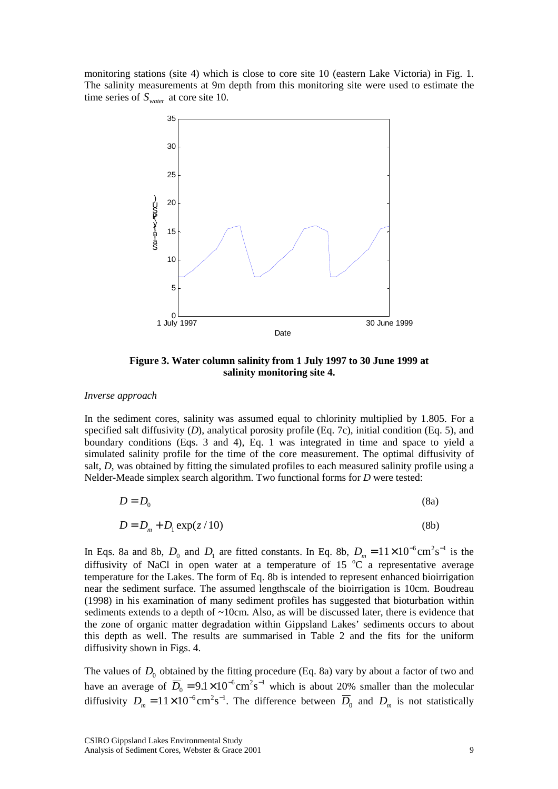monitoring stations (site 4) which is close to core site 10 (eastern Lake Victoria) in Fig. 1. The salinity measurements at 9m depth from this monitoring site were used to estimate the time series of  $S_{water}$  at core site 10.



**Figure 3. Water column salinity from 1 July 1997 to 30 June 1999 at salinity monitoring site 4.** 

#### *Inverse approach*

In the sediment cores, salinity was assumed equal to chlorinity multiplied by 1.805. For a specified salt diffusivity (*D*), analytical porosity profile (Eq. 7c), initial condition (Eq. 5), and boundary conditions (Eqs. 3 and 4), Eq. 1 was integrated in time and space to yield a simulated salinity profile for the time of the core measurement. The optimal diffusivity of salt, *D*, was obtained by fitting the simulated profiles to each measured salinity profile using a Nelder-Meade simplex search algorithm. Two functional forms for *D* were tested:

$$
D = D_0 \tag{8a}
$$

$$
D = D_m + D_1 \exp(z/10) \tag{8b}
$$

In Eqs. 8a and 8b,  $D_0$  and  $D_1$  are fitted constants. In Eq. 8b,  $D_m = 11 \times 10^{-6} \text{cm}^2 \text{s}^{-1}$  is the diffusivity of NaCl in open water at a temperature of 15  $^{\circ}$ C a representative average temperature for the Lakes. The form of Eq. 8b is intended to represent enhanced bioirrigation near the sediment surface. The assumed lengthscale of the bioirrigation is 10cm. Boudreau (1998) in his examination of many sediment profiles has suggested that bioturbation within sediments extends to a depth of  $\sim 10$ cm. Also, as will be discussed later, there is evidence that the zone of organic matter degradation within Gippsland Lakes' sediments occurs to about this depth as well. The results are summarised in Table 2 and the fits for the uniform diffusivity shown in Figs. 4.

The values of  $D_0$  obtained by the fitting procedure (Eq. 8a) vary by about a factor of two and have an average of  $\overline{D}_0 = 9.1 \times 10^{-6} \text{cm}^2 \text{s}^{-1}$  which is about 20% smaller than the molecular diffusivity  $D_m = 11 \times 10^{-6} \text{cm}^2 \text{s}^{-1}$ . The difference between  $\overline{D}_0$  and  $D_m$  is not statistically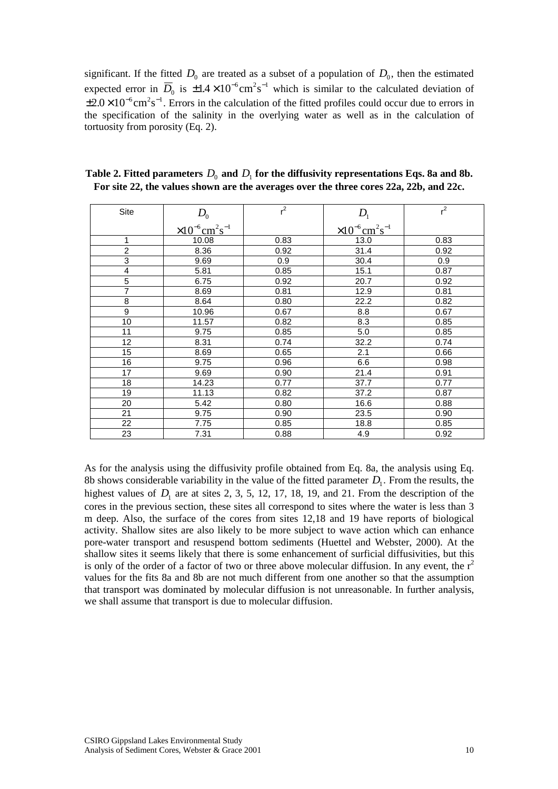significant. If the fitted  $D_0$  are treated as a subset of a population of  $D_0$ , then the estimated expected error in  $\overline{D}_0$  is  $\pm 1.4 \times 10^{-6} \text{cm}^2 \text{s}^{-1}$  which is similar to the calculated deviation of  $\pm 2.0 \times 10^{-6}$  cm<sup>2</sup>s<sup>-1</sup>. Errors in the calculation of the fitted profiles could occur due to errors in the specification of the salinity in the overlying water as well as in the calculation of tortuosity from porosity (Eq. 2).

| Site           | $D_{0}$                                          | $r^2$ | D <sub>1</sub>                                   | $r^2$ |
|----------------|--------------------------------------------------|-------|--------------------------------------------------|-------|
|                | $\times 10^{-6}$ cm <sup>2</sup> s <sup>-1</sup> |       | $\times 10^{-6}$ cm <sup>2</sup> s <sup>-1</sup> |       |
| $\mathbf{1}$   | 10.08                                            | 0.83  | 13.0                                             | 0.83  |
| $\overline{2}$ | 8.36                                             | 0.92  | 31.4                                             | 0.92  |
| 3              | 9.69                                             | 0.9   | 30.4                                             | 0.9   |
| 4              | 5.81                                             | 0.85  | 15.1                                             | 0.87  |
| $\overline{5}$ | 6.75                                             | 0.92  | 20.7                                             | 0.92  |
| $\overline{7}$ | 8.69                                             | 0.81  | 12.9                                             | 0.81  |
| $\overline{8}$ | 8.64                                             | 0.80  | 22.2                                             | 0.82  |
| $\overline{9}$ | 10.96                                            | 0.67  | 8.8                                              | 0.67  |
| 10             | 11.57                                            | 0.82  | 8.3                                              | 0.85  |
| 11             | 9.75                                             | 0.85  | 5.0                                              | 0.85  |
| 12             | 8.31                                             | 0.74  | 32.2                                             | 0.74  |
| 15             | 8.69                                             | 0.65  | 2.1                                              | 0.66  |
| 16             | 9.75                                             | 0.96  | 6.6                                              | 0.98  |
| 17             | 9.69                                             | 0.90  | 21.4                                             | 0.91  |
| 18             | 14.23                                            | 0.77  | 37.7                                             | 0.77  |
| 19             | 11.13                                            | 0.82  | 37.2                                             | 0.87  |
| 20             | 5.42                                             | 0.80  | 16.6                                             | 0.88  |
| 21             | 9.75                                             | 0.90  | 23.5                                             | 0.90  |
| 22             | 7.75                                             | 0.85  | 18.8                                             | 0.85  |
| 23             | 7.31                                             | 0.88  | 4.9                                              | 0.92  |

Table 2. Fitted parameters  $D_0$  and  $D_1$  for the diffusivity representations Eqs. 8a and 8b. **For site 22, the values shown are the averages over the three cores 22a, 22b, and 22c.** 

As for the analysis using the diffusivity profile obtained from Eq. 8a, the analysis using Eq. 8b shows considerable variability in the value of the fitted parameter  $D<sub>1</sub>$ . From the results, the highest values of  $D_1$  are at sites 2, 3, 5, 12, 17, 18, 19, and 21. From the description of the cores in the previous section, these sites all correspond to sites where the water is less than 3 m deep. Also, the surface of the cores from sites 12,18 and 19 have reports of biological activity. Shallow sites are also likely to be more subject to wave action which can enhance pore-water transport and resuspend bottom sediments (Huettel and Webster, 2000). At the shallow sites it seems likely that there is some enhancement of surficial diffusivities, but this is only of the order of a factor of two or three above molecular diffusion. In any event, the  $r^2$ values for the fits 8a and 8b are not much different from one another so that the assumption that transport was dominated by molecular diffusion is not unreasonable. In further analysis, we shall assume that transport is due to molecular diffusion.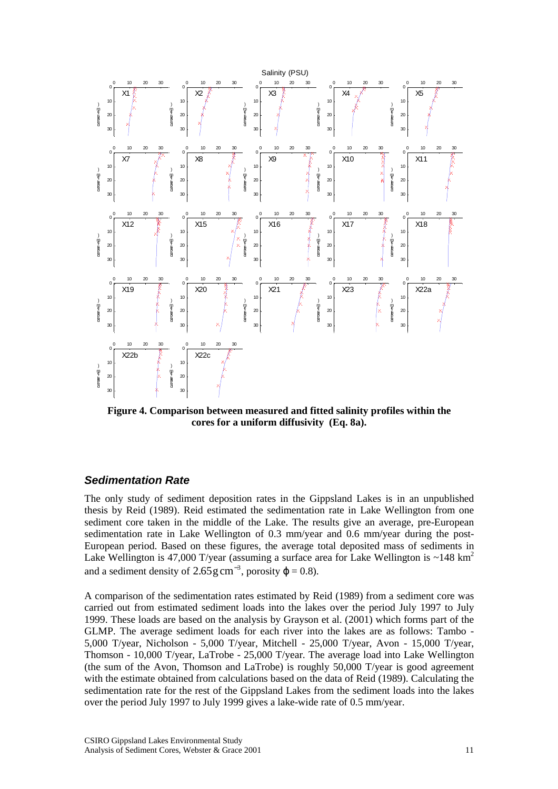<span id="page-10-0"></span>

**Figure 4. Comparison between measured and fitted salinity profiles within the cores for a uniform diffusivity (Eq. 8a).** 

# *Sedimentation Rate*

The only study of sediment deposition rates in the Gippsland Lakes is in an unpublished thesis by Reid (1989). Reid estimated the sedimentation rate in Lake Wellington from one sediment core taken in the middle of the Lake. The results give an average, pre-European sedimentation rate in Lake Wellington of 0.3 mm/year and 0.6 mm/year during the post-European period. Based on these figures, the average total deposited mass of sediments in Lake Wellington is 47,000 T/year (assuming a surface area for Lake Wellington is  $\sim$ 148 km<sup>2</sup> and a sediment density of  $2.65 \text{ g cm}^{-3}$ , porosity  $\varphi = 0.8$ ).

A comparison of the sedimentation rates estimated by Reid (1989) from a sediment core was carried out from estimated sediment loads into the lakes over the period July 1997 to July 1999. These loads are based on the analysis by Grayson et al. (2001) which forms part of the GLMP. The average sediment loads for each river into the lakes are as follows: Tambo - 5,000 T/year, Nicholson - 5,000 T/year, Mitchell - 25,000 T/year, Avon - 15,000 T/year, Thomson - 10,000 T/year, LaTrobe - 25,000 T/year. The average load into Lake Wellington (the sum of the Avon, Thomson and LaTrobe) is roughly 50,000 T/year is good agreement with the estimate obtained from calculations based on the data of Reid (1989). Calculating the sedimentation rate for the rest of the Gippsland Lakes from the sediment loads into the lakes over the period July 1997 to July 1999 gives a lake-wide rate of 0.5 mm/year.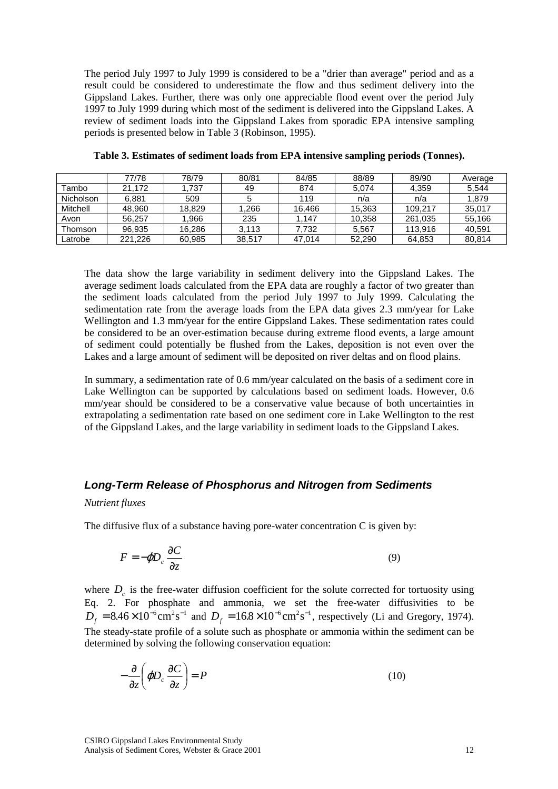<span id="page-11-0"></span>The period July 1997 to July 1999 is considered to be a "drier than average" period and as a result could be considered to underestimate the flow and thus sediment delivery into the Gippsland Lakes. Further, there was only one appreciable flood event over the period July 1997 to July 1999 during which most of the sediment is delivered into the Gippsland Lakes. A review of sediment loads into the Gippsland Lakes from sporadic EPA intensive sampling periods is presented below in Table 3 (Robinson, 1995).

|           | 77/78   | 78/79  | 80/81  | 84/85  | 88/89  | 89/90   | Average |
|-----------|---------|--------|--------|--------|--------|---------|---------|
| Tambo     | 21.172  | 1.737  | 49     | 874    | 5.074  | 4.359   | 5.544   |
| Nicholson | 6.881   | 509    |        | 119    | n/a    | n/a     | 1.879   |
| Mitchell  | 48,960  | 18.829 | .266   | 16,466 | 15,363 | 109.217 | 35,017  |
| Avon      | 56.257  | 1.966  | 235    | 1.147  | 10.358 | 261,035 | 55.166  |
| Thomson   | 96.935  | 16.286 | 3.113  | 7.732  | 5.567  | 113.916 | 40.591  |
| Latrobe   | 221.226 | 60,985 | 38.517 | 47,014 | 52,290 | 64,853  | 80,814  |

**Table 3. Estimates of sediment loads from EPA intensive sampling periods (Tonnes).** 

The data show the large variability in sediment delivery into the Gippsland Lakes. The average sediment loads calculated from the EPA data are roughly a factor of two greater than the sediment loads calculated from the period July 1997 to July 1999. Calculating the sedimentation rate from the average loads from the EPA data gives 2.3 mm/year for Lake Wellington and 1.3 mm/year for the entire Gippsland Lakes. These sedimentation rates could be considered to be an over-estimation because during extreme flood events, a large amount of sediment could potentially be flushed from the Lakes, deposition is not even over the Lakes and a large amount of sediment will be deposited on river deltas and on flood plains.

In summary, a sedimentation rate of 0.6 mm/year calculated on the basis of a sediment core in Lake Wellington can be supported by calculations based on sediment loads. However, 0.6 mm/year should be considered to be a conservative value because of both uncertainties in extrapolating a sedimentation rate based on one sediment core in Lake Wellington to the rest of the Gippsland Lakes, and the large variability in sediment loads to the Gippsland Lakes.

#### *Long-Term Release of Phosphorus and Nitrogen from Sediments*

#### *Nutrient fluxes*

The diffusive flux of a substance having pore-water concentration C is given by:

$$
F = -\varphi D_c \frac{\partial C}{\partial z} \tag{9}
$$

where  $D<sub>a</sub>$  is the free-water diffusion coefficient for the solute corrected for tortuosity using Eq. 2. For phosphate and ammonia, we set the free-water diffusivities to be  $D_f = 8.46 \times 10^{-6} \text{cm}^2 \text{s}^{-1}$  and  $D_f = 16.8 \times 10^{-6} \text{cm}^2 \text{s}^{-1}$ , respectively (Li and Gregory, 1974). The steady-state profile of a solute such as phosphate or ammonia within the sediment can be determined by solving the following conservation equation:

$$
-\frac{\partial}{\partial z}\left(\varphi D_c \frac{\partial C}{\partial z}\right) = P \tag{10}
$$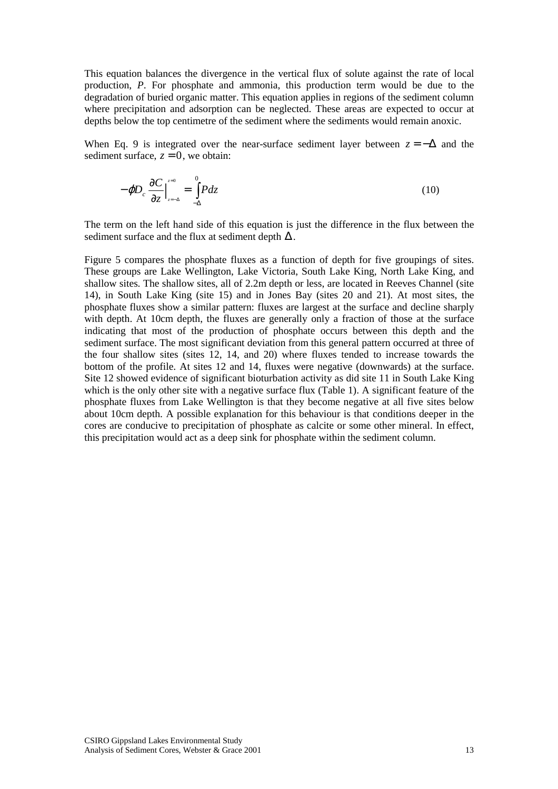This equation balances the divergence in the vertical flux of solute against the rate of local production, *P*. For phosphate and ammonia, this production term would be due to the degradation of buried organic matter. This equation applies in regions of the sediment column where precipitation and adsorption can be neglected. These areas are expected to occur at depths below the top centimetre of the sediment where the sediments would remain anoxic.

When Eq. 9 is integrated over the near-surface sediment layer between  $z = -\Delta$  and the sediment surface,  $z = 0$ , we obtain:

$$
-\varphi D_c \frac{\partial C}{\partial z}\Big|_{z=-\Delta}^{z=0} = \int_{-\Delta}^{0} P dz
$$
\n(10)

The term on the left hand side of this equation is just the difference in the flux between the sediment surface and the flux at sediment depth  $\Delta$ .

Figure 5 compares the phosphate fluxes as a function of depth for five groupings of sites. These groups are Lake Wellington, Lake Victoria, South Lake King, North Lake King, and shallow sites. The shallow sites, all of 2.2m depth or less, are located in Reeves Channel (site 14), in South Lake King (site 15) and in Jones Bay (sites 20 and 21). At most sites, the phosphate fluxes show a similar pattern: fluxes are largest at the surface and decline sharply with depth. At 10cm depth, the fluxes are generally only a fraction of those at the surface indicating that most of the production of phosphate occurs between this depth and the sediment surface. The most significant deviation from this general pattern occurred at three of the four shallow sites (sites 12, 14, and 20) where fluxes tended to increase towards the bottom of the profile. At sites 12 and 14, fluxes were negative (downwards) at the surface. Site 12 showed evidence of significant bioturbation activity as did site 11 in South Lake King which is the only other site with a negative surface flux (Table 1). A significant feature of the phosphate fluxes from Lake Wellington is that they become negative at all five sites below about 10cm depth. A possible explanation for this behaviour is that conditions deeper in the cores are conducive to precipitation of phosphate as calcite or some other mineral. In effect, this precipitation would act as a deep sink for phosphate within the sediment column.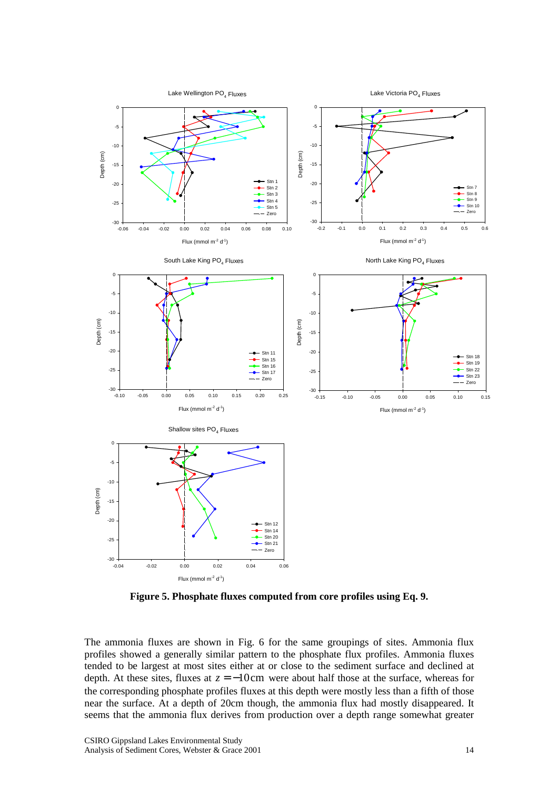

**Figure 5. Phosphate fluxes computed from core profiles using Eq. 9.** 

The ammonia fluxes are shown in Fig. 6 for the same groupings of sites. Ammonia flux profiles showed a generally similar pattern to the phosphate flux profiles. Ammonia fluxes tended to be largest at most sites either at or close to the sediment surface and declined at depth. At these sites, fluxes at  $z = -10$ cm were about half those at the surface, whereas for the corresponding phosphate profiles fluxes at this depth were mostly less than a fifth of those near the surface. At a depth of 20cm though, the ammonia flux had mostly disappeared. It seems that the ammonia flux derives from production over a depth range somewhat greater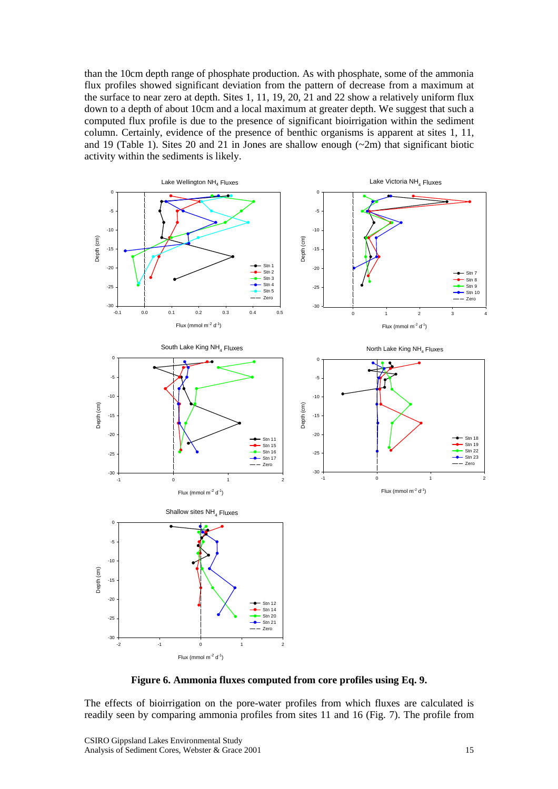than the 10cm depth range of phosphate production. As with phosphate, some of the ammonia flux profiles showed significant deviation from the pattern of decrease from a maximum at the surface to near zero at depth. Sites 1, 11, 19, 20, 21 and 22 show a relatively uniform flux down to a depth of about 10cm and a local maximum at greater depth. We suggest that such a computed flux profile is due to the presence of significant bioirrigation within the sediment column. Certainly, evidence of the presence of benthic organisms is apparent at sites 1, 11, and 19 (Table 1). Sites 20 and 21 in Jones are shallow enough  $(\sim 2m)$  that significant biotic activity within the sediments is likely.



**Figure 6. Ammonia fluxes computed from core profiles using Eq. 9.** 

The effects of bioirrigation on the pore-water profiles from which fluxes are calculated is readily seen by comparing ammonia profiles from sites 11 and 16 (Fig. 7). The profile from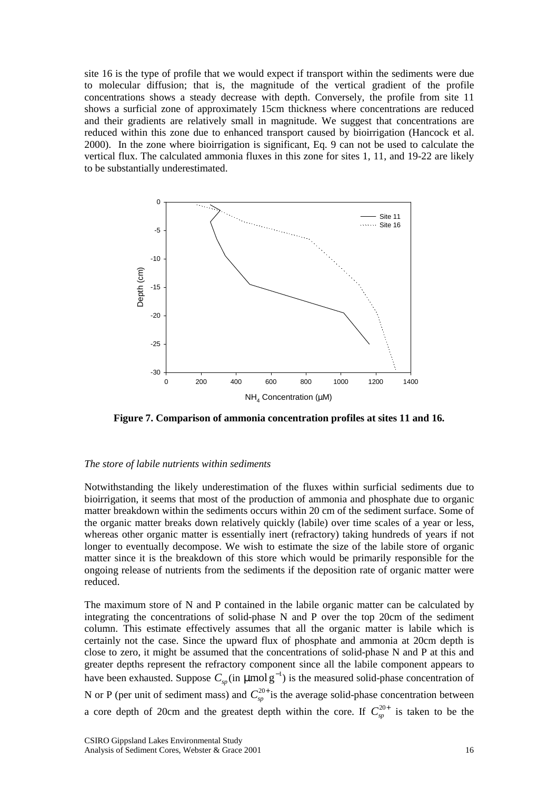site 16 is the type of profile that we would expect if transport within the sediments were due to molecular diffusion; that is, the magnitude of the vertical gradient of the profile concentrations shows a steady decrease with depth. Conversely, the profile from site 11 shows a surficial zone of approximately 15cm thickness where concentrations are reduced and their gradients are relatively small in magnitude. We suggest that concentrations are reduced within this zone due to enhanced transport caused by bioirrigation (Hancock et al. 2000). In the zone where bioirrigation is significant, Eq. 9 can not be used to calculate the vertical flux. The calculated ammonia fluxes in this zone for sites 1, 11, and 19-22 are likely to be substantially underestimated.



**Figure 7. Comparison of ammonia concentration profiles at sites 11 and 16.** 

#### *The store of labile nutrients within sediments*

Notwithstanding the likely underestimation of the fluxes within surficial sediments due to bioirrigation, it seems that most of the production of ammonia and phosphate due to organic matter breakdown within the sediments occurs within 20 cm of the sediment surface. Some of the organic matter breaks down relatively quickly (labile) over time scales of a year or less, whereas other organic matter is essentially inert (refractory) taking hundreds of years if not longer to eventually decompose. We wish to estimate the size of the labile store of organic matter since it is the breakdown of this store which would be primarily responsible for the ongoing release of nutrients from the sediments if the deposition rate of organic matter were reduced.

The maximum store of N and P contained in the labile organic matter can be calculated by integrating the concentrations of solid-phase N and P over the top 20cm of the sediment column. This estimate effectively assumes that all the organic matter is labile which is certainly not the case. Since the upward flux of phosphate and ammonia at 20cm depth is close to zero, it might be assumed that the concentrations of solid-phase N and P at this and greater depths represent the refractory component since all the labile component appears to have been exhausted. Suppose  $C_{\text{sp}}$  (in  $\mu$ mol g<sup>-1</sup>) is the measured solid-phase concentration of N or P (per unit of sediment mass) and  $C_{sp}^{20+}$  is the average solid-phase concentration between a core depth of 20cm and the greatest depth within the core. If  $C_{sp}^{20+}$  is taken to be the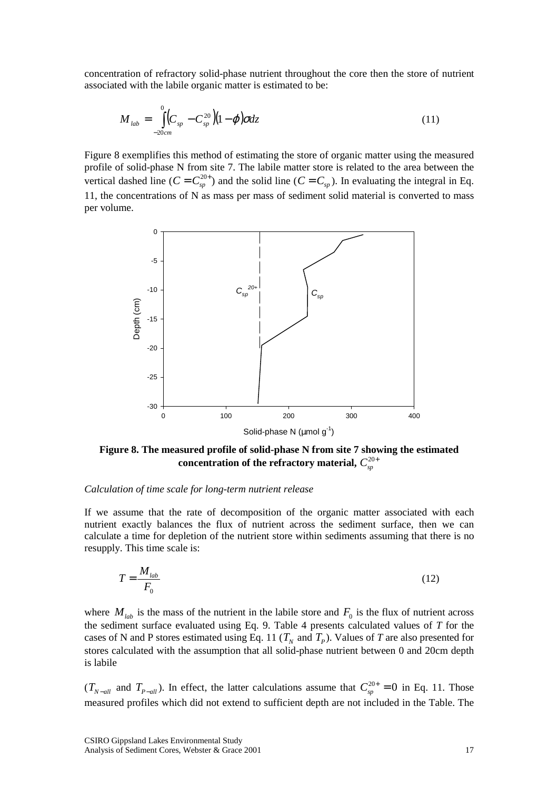concentration of refractory solid-phase nutrient throughout the core then the store of nutrient associated with the labile organic matter is estimated to be:

$$
M_{lab} = \int_{-20cm}^{0} \left( C_{sp} - C_{sp}^{20} \right) \left( 1 - \varphi \right) \sigma dz \tag{11}
$$

Figure 8 exemplifies this method of estimating the store of organic matter using the measured profile of solid-phase N from site 7. The labile matter store is related to the area between the vertical dashed line  $(C = C_{sp}^{20+})$  and the solid line  $(C = C_{sp})$ . In evaluating the integral in Eq. 11, the concentrations of N as mass per mass of sediment solid material is converted to mass per volume.



**Figure 8. The measured profile of solid-phase N from site 7 showing the estimated**  concentration of the refractory material,  $C_{\tiny sp}^{20+}$ 

#### *Calculation of time scale for long-term nutrient release*

If we assume that the rate of decomposition of the organic matter associated with each nutrient exactly balances the flux of nutrient across the sediment surface, then we can calculate a time for depletion of the nutrient store within sediments assuming that there is no resupply. This time scale is:

$$
T = \frac{M_{\text{lab}}}{F_0} \tag{12}
$$

where  $M_{lab}$  is the mass of the nutrient in the labile store and  $F_0$  is the flux of nutrient across the sediment surface evaluated using Eq. 9. Table 4 presents calculated values of *T* for the cases of N and P stores estimated using Eq. 11 ( $T<sub>N</sub>$  and  $T<sub>P</sub>$ ). Values of T are also presented for stores calculated with the assumption that all solid-phase nutrient between 0 and 20cm depth is labile

 $(T_{N-all}$  and  $T_{P-all}$ ). In effect, the latter calculations assume that  $C_{sp}^{20+} = 0$  in Eq. 11. Those measured profiles which did not extend to sufficient depth are not included in the Table. The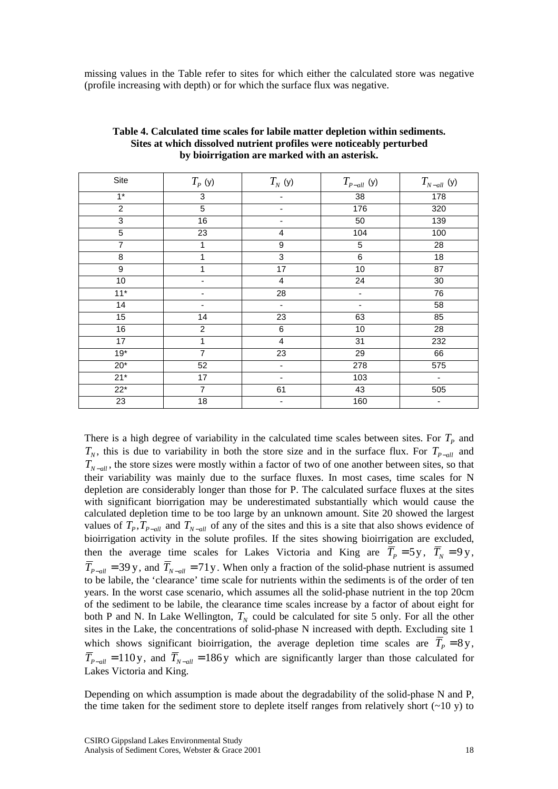missing values in the Table refer to sites for which either the calculated store was negative (profile increasing with depth) or for which the surface flux was negative.

| Site            | $T_P(y)$        | $T_N^{\phantom{\dagger}}$ (y) | $T_{\scriptscriptstyle P-all}$ (y) | $T^{\,}_{_Nall}$ (y) |
|-----------------|-----------------|-------------------------------|------------------------------------|----------------------|
| $1*$            | 3               |                               | 38                                 | 178                  |
| $\overline{c}$  | $\overline{5}$  |                               | 176                                | 320                  |
| $\overline{3}$  | 16              |                               | 50                                 | 139                  |
| $\overline{5}$  | $\overline{23}$ | 4                             | 104                                | 100                  |
| 7               | 1               | $\boldsymbol{9}$              | 5                                  | 28                   |
| 8               | 1               | $\overline{3}$                | 6                                  | 18                   |
| 9               | 1               | $\overline{17}$               | 10                                 | 87                   |
| 10              |                 | $\overline{\mathbf{4}}$       | 24                                 | 30                   |
| $11*$           | ۰               | $\overline{28}$               | $\overline{\phantom{a}}$           | 76                   |
| $\overline{14}$ | ٠               | $\overline{\phantom{a}}$      | $\overline{\phantom{a}}$           | $\overline{58}$      |
| 15              | 14              | 23                            | 63                                 | 85                   |
| 16              | $\overline{c}$  | $\,6$                         | 10                                 | 28                   |
| 17              | 1               | 4                             | 31                                 | 232                  |
| $19*$           | $\overline{7}$  | $\overline{23}$               | 29                                 | 66                   |
| $20*$           | 52              |                               | 278                                | 575                  |
| $21*$           | 17              |                               | 103                                | $\blacksquare$       |
| $22*$           | $\overline{7}$  | 61                            | 43                                 | 505                  |
| 23              | 18              |                               | 160                                |                      |

#### **Table 4. Calculated time scales for labile matter depletion within sediments. Sites at which dissolved nutrient profiles were noticeably perturbed by bioirrigation are marked with an asterisk.**

There is a high degree of variability in the calculated time scales between sites. For  $T_p$  and  $T_N$ , this is due to variability in both the store size and in the surface flux. For  $T_{P-all}$  and  $T_{N-all}$ , the store sizes were mostly within a factor of two of one another between sites, so that their variability was mainly due to the surface fluxes. In most cases, time scales for N depletion are considerably longer than those for P. The calculated surface fluxes at the sites with significant biorrigation may be underestimated substantially which would cause the calculated depletion time to be too large by an unknown amount. Site 20 showed the largest values of  $T_p$ ,  $T_{p-all}$  and  $T_{N-all}$  of any of the sites and this is a site that also shows evidence of bioirrigation activity in the solute profiles. If the sites showing bioirrigation are excluded, then the average time scales for Lakes Victoria and King are  $\overline{T}_P = 5y$ ,  $\overline{T}_N = 9y$ ,  $\overline{T}_{P-\text{all}} = 39 \text{ y}$ , and  $\overline{T}_{N-\text{all}} = 71 \text{ y}$ . When only a fraction of the solid-phase nutrient is assumed to be labile, the 'clearance' time scale for nutrients within the sediments is of the order of ten years. In the worst case scenario, which assumes all the solid-phase nutrient in the top 20cm of the sediment to be labile, the clearance time scales increase by a factor of about eight for both P and N. In Lake Wellington,  $T_N$  could be calculated for site 5 only. For all the other sites in the Lake, the concentrations of solid-phase N increased with depth. Excluding site 1 which shows significant bioirrigation, the average depletion time scales are  $\overline{T}_p = 8y$ ,  $\overline{T}_{P-\text{all}} = 110 \text{ y}$ , and  $\overline{T}_{N-\text{all}} = 186 \text{ y}$  which are significantly larger than those calculated for Lakes Victoria and King.

Depending on which assumption is made about the degradability of the solid-phase N and P, the time taken for the sediment store to deplete itself ranges from relatively short  $(-10 y)$  to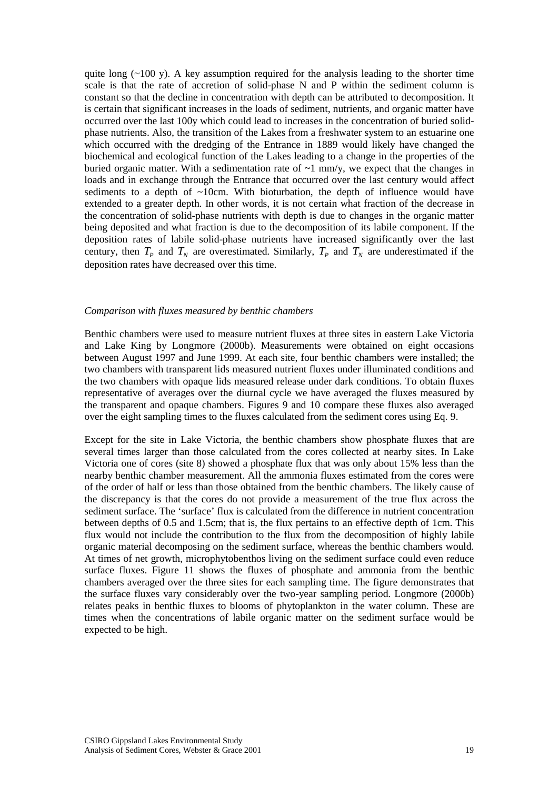quite long  $(\sim 100 \text{ y})$ . A key assumption required for the analysis leading to the shorter time scale is that the rate of accretion of solid-phase N and P within the sediment column is constant so that the decline in concentration with depth can be attributed to decomposition. It is certain that significant increases in the loads of sediment, nutrients, and organic matter have occurred over the last 100y which could lead to increases in the concentration of buried solidphase nutrients. Also, the transition of the Lakes from a freshwater system to an estuarine one which occurred with the dredging of the Entrance in 1889 would likely have changed the biochemical and ecological function of the Lakes leading to a change in the properties of the buried organic matter. With a sedimentation rate of  $\sim$ 1 mm/y, we expect that the changes in loads and in exchange through the Entrance that occurred over the last century would affect sediments to a depth of  $\sim$ 10cm. With bioturbation, the depth of influence would have extended to a greater depth. In other words, it is not certain what fraction of the decrease in the concentration of solid-phase nutrients with depth is due to changes in the organic matter being deposited and what fraction is due to the decomposition of its labile component. If the deposition rates of labile solid-phase nutrients have increased significantly over the last century, then  $T_p$  and  $T_p$  are overestimated. Similarly,  $T_p$  and  $T_p$  are underestimated if the deposition rates have decreased over this time.

#### *Comparison with fluxes measured by benthic chambers*

Benthic chambers were used to measure nutrient fluxes at three sites in eastern Lake Victoria and Lake King by Longmore (2000b). Measurements were obtained on eight occasions between August 1997 and June 1999. At each site, four benthic chambers were installed; the two chambers with transparent lids measured nutrient fluxes under illuminated conditions and the two chambers with opaque lids measured release under dark conditions. To obtain fluxes representative of averages over the diurnal cycle we have averaged the fluxes measured by the transparent and opaque chambers. Figures 9 and 10 compare these fluxes also averaged over the eight sampling times to the fluxes calculated from the sediment cores using Eq. 9.

Except for the site in Lake Victoria, the benthic chambers show phosphate fluxes that are several times larger than those calculated from the cores collected at nearby sites. In Lake Victoria one of cores (site 8) showed a phosphate flux that was only about 15% less than the nearby benthic chamber measurement. All the ammonia fluxes estimated from the cores were of the order of half or less than those obtained from the benthic chambers. The likely cause of the discrepancy is that the cores do not provide a measurement of the true flux across the sediment surface. The 'surface' flux is calculated from the difference in nutrient concentration between depths of 0.5 and 1.5cm; that is, the flux pertains to an effective depth of 1cm. This flux would not include the contribution to the flux from the decomposition of highly labile organic material decomposing on the sediment surface, whereas the benthic chambers would. At times of net growth, microphytobenthos living on the sediment surface could even reduce surface fluxes. Figure 11 shows the fluxes of phosphate and ammonia from the benthic chambers averaged over the three sites for each sampling time. The figure demonstrates that the surface fluxes vary considerably over the two-year sampling period. Longmore (2000b) relates peaks in benthic fluxes to blooms of phytoplankton in the water column. These are times when the concentrations of labile organic matter on the sediment surface would be expected to be high.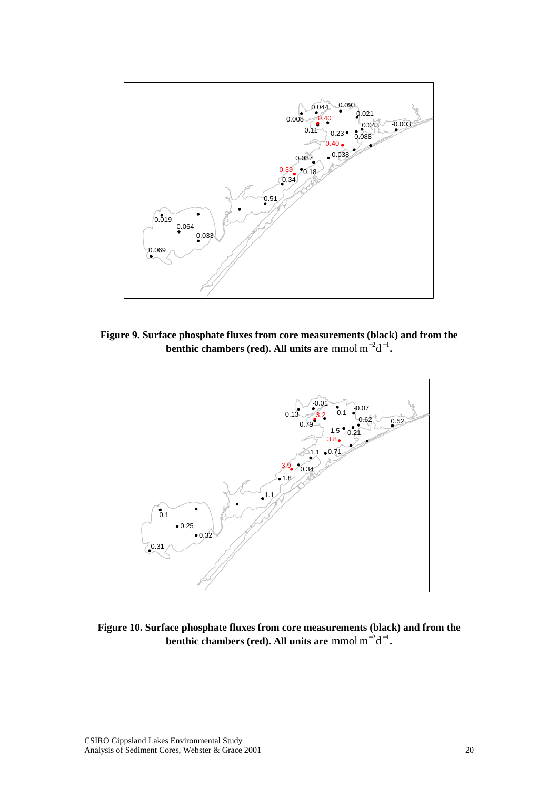

**Figure 9. Surface phosphate fluxes from core measurements (black) and from the benthic chambers (red). All units are** mmol  $m^{-2}d^{-1}$ .



**Figure 10. Surface phosphate fluxes from core measurements (black) and from the benthic chambers (red). All units are** mmol  $m^{-2}d^{-1}$ .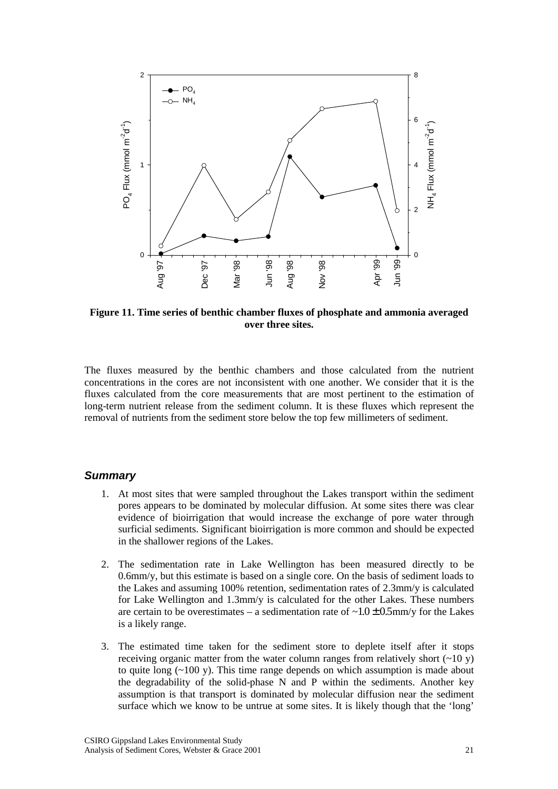<span id="page-20-0"></span>

**Figure 11. Time series of benthic chamber fluxes of phosphate and ammonia averaged over three sites.** 

The fluxes measured by the benthic chambers and those calculated from the nutrient concentrations in the cores are not inconsistent with one another. We consider that it is the fluxes calculated from the core measurements that are most pertinent to the estimation of long-term nutrient release from the sediment column. It is these fluxes which represent the removal of nutrients from the sediment store below the top few millimeters of sediment.

#### *Summary*

- 1. At most sites that were sampled throughout the Lakes transport within the sediment pores appears to be dominated by molecular diffusion. At some sites there was clear evidence of bioirrigation that would increase the exchange of pore water through surficial sediments. Significant bioirrigation is more common and should be expected in the shallower regions of the Lakes.
- 2. The sedimentation rate in Lake Wellington has been measured directly to be 0.6mm/y, but this estimate is based on a single core. On the basis of sediment loads to the Lakes and assuming 100% retention, sedimentation rates of 2.3mm/y is calculated for Lake Wellington and 1.3mm/y is calculated for the other Lakes. These numbers are certain to be overestimates – a sedimentation rate of  $\sim 1.0 \pm 0.5$  mm/y for the Lakes is a likely range.
- 3. The estimated time taken for the sediment store to deplete itself after it stops receiving organic matter from the water column ranges from relatively short  $(\sim 10 \text{ y})$ to quite long  $(-100 \text{ y})$ . This time range depends on which assumption is made about the degradability of the solid-phase N and P within the sediments. Another key assumption is that transport is dominated by molecular diffusion near the sediment surface which we know to be untrue at some sites. It is likely though that the 'long'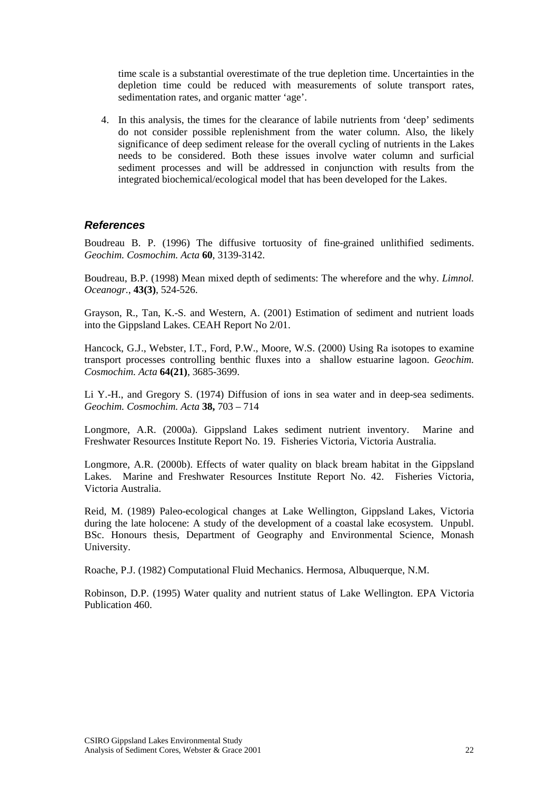<span id="page-21-0"></span>time scale is a substantial overestimate of the true depletion time. Uncertainties in the depletion time could be reduced with measurements of solute transport rates, sedimentation rates, and organic matter 'age'.

4. In this analysis, the times for the clearance of labile nutrients from 'deep' sediments do not consider possible replenishment from the water column. Also, the likely significance of deep sediment release for the overall cycling of nutrients in the Lakes needs to be considered. Both these issues involve water column and surficial sediment processes and will be addressed in conjunction with results from the integrated biochemical/ecological model that has been developed for the Lakes.

# *References*

Boudreau B. P. (1996) The diffusive tortuosity of fine-grained unlithified sediments. *Geochim. Cosmochim. Acta* **60**, 3139-3142.

Boudreau, B.P. (1998) Mean mixed depth of sediments: The wherefore and the why. *Limnol. Oceanogr.*, **43(3)**, 524-526.

Grayson, R., Tan, K.-S. and Western, A. (2001) Estimation of sediment and nutrient loads into the Gippsland Lakes. CEAH Report No 2/01.

Hancock, G.J., Webster, I.T., Ford, P.W., Moore, W.S. (2000) Using Ra isotopes to examine transport processes controlling benthic fluxes into a shallow estuarine lagoon. *Geochim. Cosmochim. Acta* **64(21)**, 3685-3699.

Li Y.-H., and Gregory S. (1974) Diffusion of ions in sea water and in deep-sea sediments. *Geochim. Cosmochim. Acta* **38,** 703 – 714

Longmore, A.R. (2000a). Gippsland Lakes sediment nutrient inventory. Marine and Freshwater Resources Institute Report No. 19. Fisheries Victoria, Victoria Australia.

Longmore, A.R. (2000b). Effects of water quality on black bream habitat in the Gippsland Lakes. Marine and Freshwater Resources Institute Report No. 42. Fisheries Victoria, Victoria Australia.

Reid, M. (1989) Paleo-ecological changes at Lake Wellington, Gippsland Lakes, Victoria during the late holocene: A study of the development of a coastal lake ecosystem. Unpubl. BSc. Honours thesis, Department of Geography and Environmental Science, Monash University.

Roache, P.J. (1982) Computational Fluid Mechanics. Hermosa, Albuquerque, N.M.

Robinson, D.P. (1995) Water quality and nutrient status of Lake Wellington. EPA Victoria Publication 460.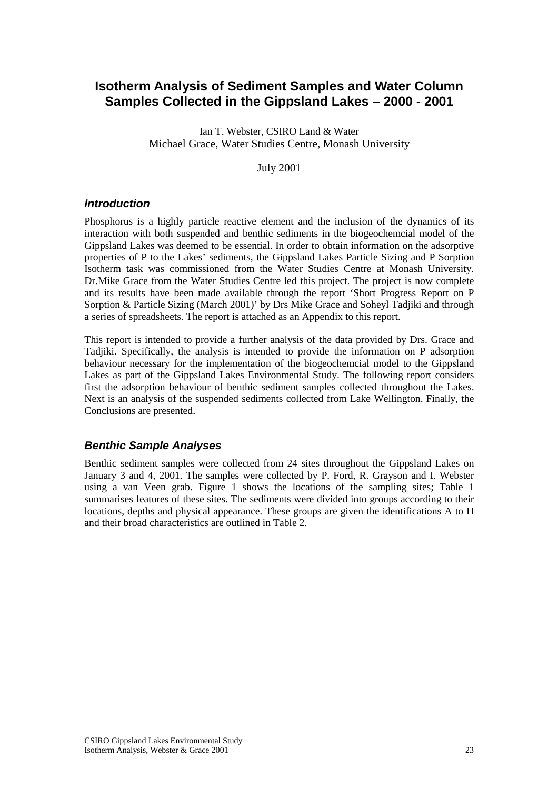# <span id="page-22-0"></span>**Isotherm Analysis of Sediment Samples and Water Column Samples Collected in the Gippsland Lakes – 2000 - 2001**

Ian T. Webster, CSIRO Land & Water Michael Grace, Water Studies Centre, Monash University

July 2001

# *Introduction*

Phosphorus is a highly particle reactive element and the inclusion of the dynamics of its interaction with both suspended and benthic sediments in the biogeochemcial model of the Gippsland Lakes was deemed to be essential. In order to obtain information on the adsorptive properties of P to the Lakes' sediments, the Gippsland Lakes Particle Sizing and P Sorption Isotherm task was commissioned from the Water Studies Centre at Monash University. Dr.Mike Grace from the Water Studies Centre led this project. The project is now complete and its results have been made available through the report 'Short Progress Report on P Sorption & Particle Sizing (March 2001)' by Drs Mike Grace and Soheyl Tadjiki and through a series of spreadsheets. The report is attached as an Appendix to this report.

This report is intended to provide a further analysis of the data provided by Drs. Grace and Tadjiki. Specifically, the analysis is intended to provide the information on P adsorption behaviour necessary for the implementation of the biogeochemcial model to the Gippsland Lakes as part of the Gippsland Lakes Environmental Study. The following report considers first the adsorption behaviour of benthic sediment samples collected throughout the Lakes. Next is an analysis of the suspended sediments collected from Lake Wellington. Finally, the Conclusions are presented.

# *Benthic Sample Analyses*

Benthic sediment samples were collected from 24 sites throughout the Gippsland Lakes on January 3 and 4, 2001. The samples were collected by P. Ford, R. Grayson and I. Webster using a van Veen grab. Figure 1 shows the locations of the sampling sites; Table 1 summarises features of these sites. The sediments were divided into groups according to their locations, depths and physical appearance. These groups are given the identifications A to H and their broad characteristics are outlined in Table 2.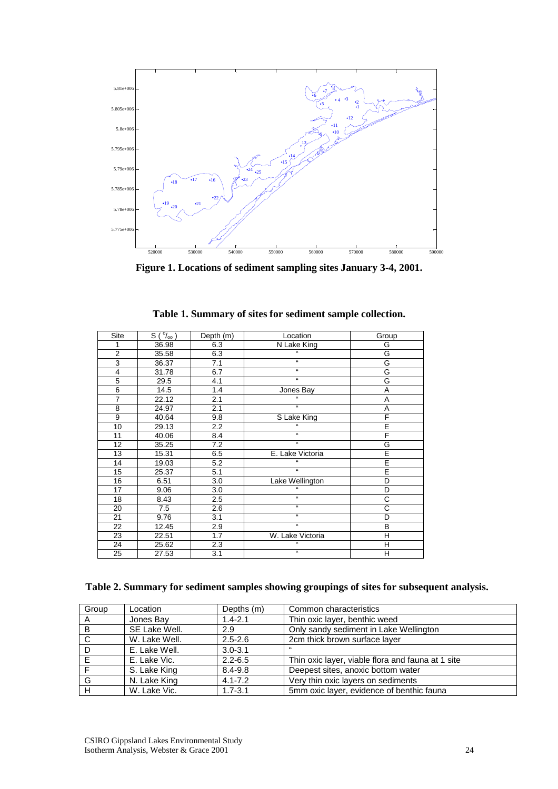

**Figure 1. Locations of sediment sampling sites January 3-4, 2001.** 

| Site           | $S(^{0}/_{00})$ | Depth (m) | Location           | Group                   |
|----------------|-----------------|-----------|--------------------|-------------------------|
| 1              | 36.98           | 6.3       | <b>N</b> Lake King | G                       |
| 2              | 35.58           | 6.3       |                    | G                       |
| 3              | 36.37           | 7.1       | $\overline{a}$     | G                       |
| $\overline{4}$ | 31.78           | 6.7       | H.                 | G                       |
| $\overline{5}$ | 29.5            | 4.1       | $\epsilon$         | G                       |
| 6              | 14.5            | 1.4       | Jones Bay          | A                       |
| $\overline{7}$ | 22.12           | 2.1       | $\epsilon$         | A                       |
| 8              | 24.97           | 2.1       | $\mathbf{f}$       | Α                       |
| 9              | 40.64           | 9.8       | S Lake King        | F                       |
| 10             | 29.13           | 2.2       |                    | E                       |
| 11             | 40.06           | 8.4       | $\mathbf{a}$       | F                       |
| 12             | 35.25           | 7.2       | $\overline{a}$     | $\frac{G}{E}$           |
| 13             | 15.31           | 6.5       | E. Lake Victoria   |                         |
| 14             | 19.03           | 5.2       |                    |                         |
| 15             | 25.37           | 5.1       | H.                 |                         |
| 16             | 6.51            | 3.0       | Lake Wellington    | D                       |
| 17             | 9.06            | 3.0       | 66                 | D                       |
| 18             | 8.43            | 2.5       | $\mathbf{f}$       | $\overline{\text{c}}$   |
| 20             | 7.5             | 2.6       | H.                 | C                       |
| 21             | 9.76            | 3.1       | $\mathbf{f}$       | D                       |
| 22             | 12.45           | 2.9       | H.                 | B                       |
| 23             | 22.51           | 1.7       | W. Lake Victoria   | $\overline{\mathsf{H}}$ |
| 24             | 25.62           | 2.3       | $\epsilon$         | Η                       |
| 25             | 27.53           | 3.1       | $\overline{a}$     | Η                       |

**Table 1. Summary of sites for sediment sample collection.** 

|  |  | Table 2. Summary for sediment samples showing groupings of sites for subsequent analysis. |
|--|--|-------------------------------------------------------------------------------------------|
|  |  |                                                                                           |

| Group | Location      | Depths (m)  | Common characteristics                            |
|-------|---------------|-------------|---------------------------------------------------|
| A     | Jones Bay     | $1.4 - 2.1$ | Thin oxic layer, benthic weed                     |
| B     | SE Lake Well. | 2.9         | Only sandy sediment in Lake Wellington            |
| C     | W. Lake Well. | $2.5 - 2.6$ | 2cm thick brown surface layer                     |
| D     | E. Lake Well. | $3.0 - 3.1$ | $\epsilon$                                        |
| E     | E. Lake Vic.  | $2.2 - 6.5$ | Thin oxic layer, viable flora and fauna at 1 site |
|       | S. Lake King  | $8.4 - 9.8$ | Deepest sites, anoxic bottom water                |
| G     | N. Lake King  | $4.1 - 7.2$ | Very thin oxic layers on sediments                |
| Н     | W. Lake Vic.  | $1.7 - 3.1$ | 5mm oxic layer, evidence of benthic fauna         |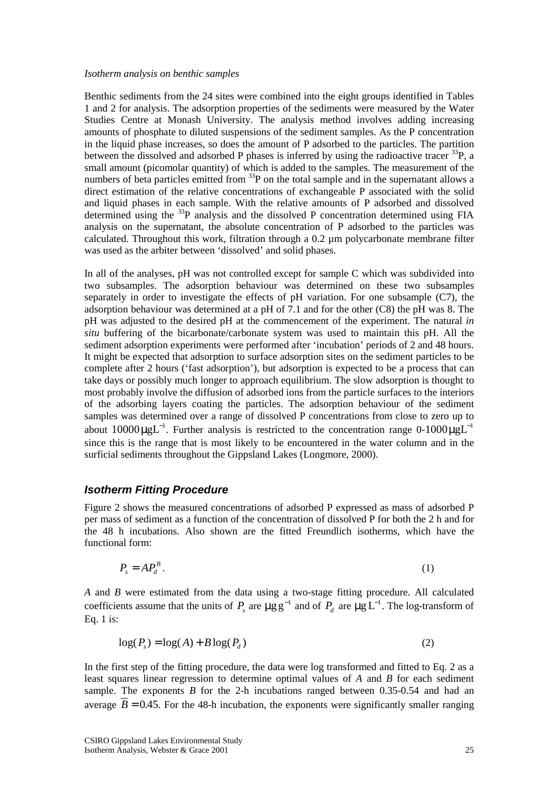#### <span id="page-24-0"></span>*Isotherm analysis on benthic samples*

Benthic sediments from the 24 sites were combined into the eight groups identified in Tables 1 and 2 for analysis. The adsorption properties of the sediments were measured by the Water Studies Centre at Monash University. The analysis method involves adding increasing amounts of phosphate to diluted suspensions of the sediment samples. As the P concentration in the liquid phase increases, so does the amount of P adsorbed to the particles. The partition between the dissolved and adsorbed P phases is inferred by using the radioactive tracer  $^{33}P$ , a small amount (picomolar quantity) of which is added to the samples. The measurement of the numbers of beta particles emitted from <sup>33</sup>P on the total sample and in the supernatant allows a direct estimation of the relative concentrations of exchangeable P associated with the solid and liquid phases in each sample. With the relative amounts of P adsorbed and dissolved determined using the <sup>33</sup>P analysis and the dissolved P concentration determined using FIA analysis on the supernatant, the absolute concentration of P adsorbed to the particles was calculated. Throughout this work, filtration through a  $0.2 \mu m$  polycarbonate membrane filter was used as the arbiter between 'dissolved' and solid phases.

In all of the analyses, pH was not controlled except for sample C which was subdivided into two subsamples. The adsorption behaviour was determined on these two subsamples separately in order to investigate the effects of pH variation. For one subsample (C7), the adsorption behaviour was determined at a pH of 7.1 and for the other (C8) the pH was 8. The pH was adjusted to the desired pH at the commencement of the experiment. The natural *in situ* buffering of the bicarbonate/carbonate system was used to maintain this pH. All the sediment adsorption experiments were performed after 'incubation' periods of 2 and 48 hours. It might be expected that adsorption to surface adsorption sites on the sediment particles to be complete after 2 hours ('fast adsorption'), but adsorption is expected to be a process that can take days or possibly much longer to approach equilibrium. The slow adsorption is thought to most probably involve the diffusion of adsorbed ions from the particle surfaces to the interiors of the adsorbing layers coating the particles. The adsorption behaviour of the sediment samples was determined over a range of dissolved P concentrations from close to zero up to about 10000  $\mu$ gL<sup>-1</sup>. Further analysis is restricted to the concentration range 0-1000  $\mu$ gL<sup>-1</sup> since this is the range that is most likely to be encountered in the water column and in the surficial sediments throughout the Gippsland Lakes (Longmore, 2000).

# *Isotherm Fitting Procedure*

Figure 2 shows the measured concentrations of adsorbed P expressed as mass of adsorbed P per mass of sediment as a function of the concentration of dissolved P for both the 2 h and for the 48 h incubations. Also shown are the fitted Freundlich isotherms, which have the functional form:

$$
P_s = AP_d^B. \tag{1}
$$

*A* and *B* were estimated from the data using a two-stage fitting procedure. All calculated coefficients assume that the units of  $P_s$  are  $\mu$ gg<sup>-1</sup> and of  $P_d$  are  $\mu$ g L<sup>-1</sup>. The log-transform of Eq. 1 is:

$$
log(Ps) = log(A) + B log(Pd)
$$
\n(2)

In the first step of the fitting procedure, the data were log transformed and fitted to Eq. 2 as a least squares linear regression to determine optimal values of *A* and *B* for each sediment sample. The exponents *B* for the 2-h incubations ranged between 0.35-0.54 and had an average  $\overline{B}$  = 0.45. For the 48-h incubation, the exponents were significantly smaller ranging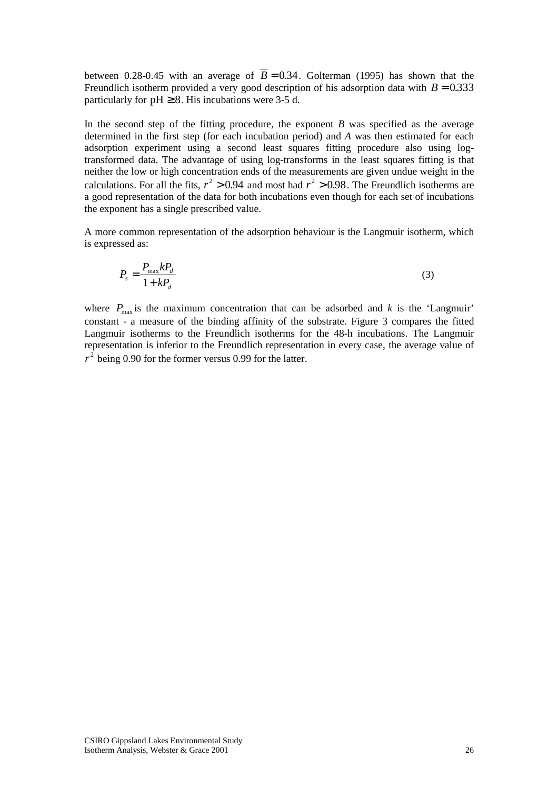between 0.28-0.45 with an average of  $\overline{B} = 0.34$ . Golterman (1995) has shown that the Freundlich isotherm provided a very good description of his adsorption data with  $B = 0.333$ particularly for  $pH \ge 8$ . His incubations were 3-5 d.

In the second step of the fitting procedure, the exponent *B* was specified as the average determined in the first step (for each incubation period) and *A* was then estimated for each adsorption experiment using a second least squares fitting procedure also using logtransformed data. The advantage of using log-transforms in the least squares fitting is that neither the low or high concentration ends of the measurements are given undue weight in the calculations. For all the fits,  $r^2 > 0.94$  and most had  $r^2 > 0.98$ . The Freundlich isotherms are a good representation of the data for both incubations even though for each set of incubations the exponent has a single prescribed value.

A more common representation of the adsorption behaviour is the Langmuir isotherm, which is expressed as:

$$
P_s = \frac{P_{\text{max}} k P_d}{1 + k P_d} \tag{3}
$$

where  $P_{\text{max}}$  is the maximum concentration that can be adsorbed and *k* is the 'Langmuir' constant - a measure of the binding affinity of the substrate. Figure 3 compares the fitted Langmuir isotherms to the Freundlich isotherms for the 48-h incubations. The Langmuir representation is inferior to the Freundlich representation in every case, the average value of  $r^2$  being 0.90 for the former versus 0.99 for the latter.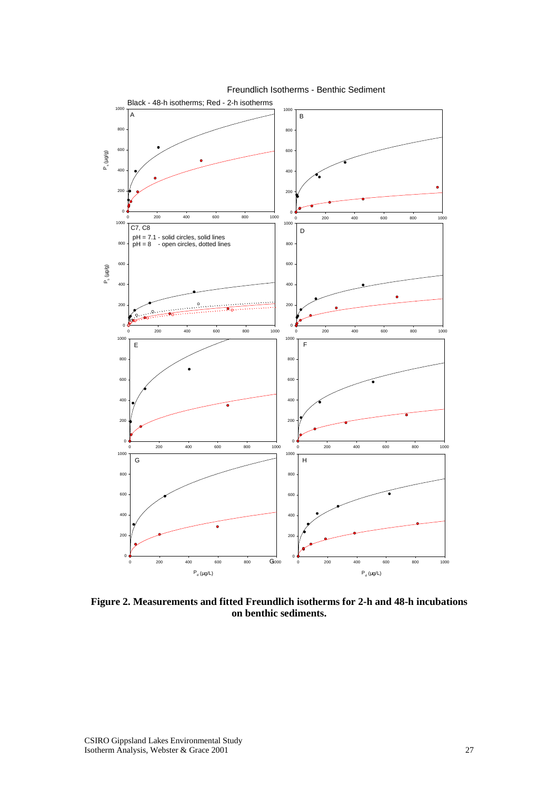

**Figure 2. Measurements and fitted Freundlich isotherms for 2-h and 48-h incubations on benthic sediments.**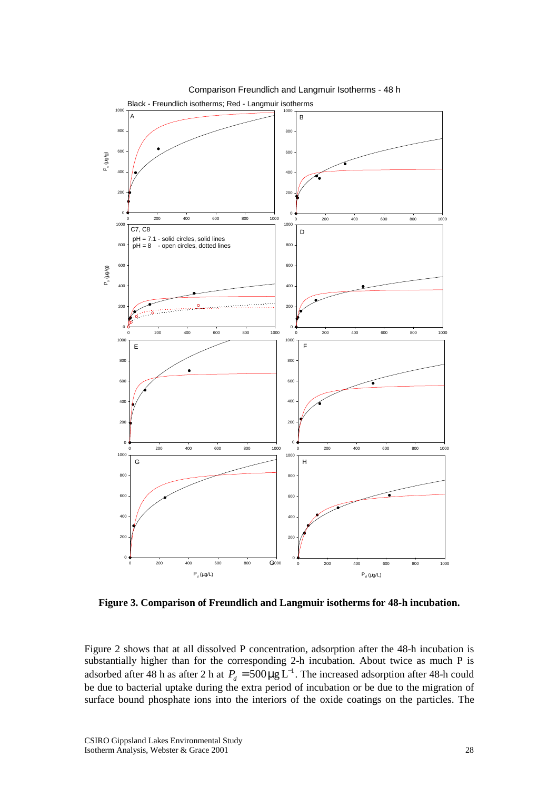

Comparison Freundlich and Langmuir Isotherms - 48 h

**Figure 3. Comparison of Freundlich and Langmuir isotherms for 48-h incubation.** 

Figure 2 shows that at all dissolved P concentration, adsorption after the 48-h incubation is substantially higher than for the corresponding 2-h incubation. About twice as much P is adsorbed after 48 h as after 2 h at  $P_d = 500 \mu g L^{-1}$ . The increased adsorption after 48-h could be due to bacterial uptake during the extra period of incubation or be due to the migration of surface bound phosphate ions into the interiors of the oxide coatings on the particles. The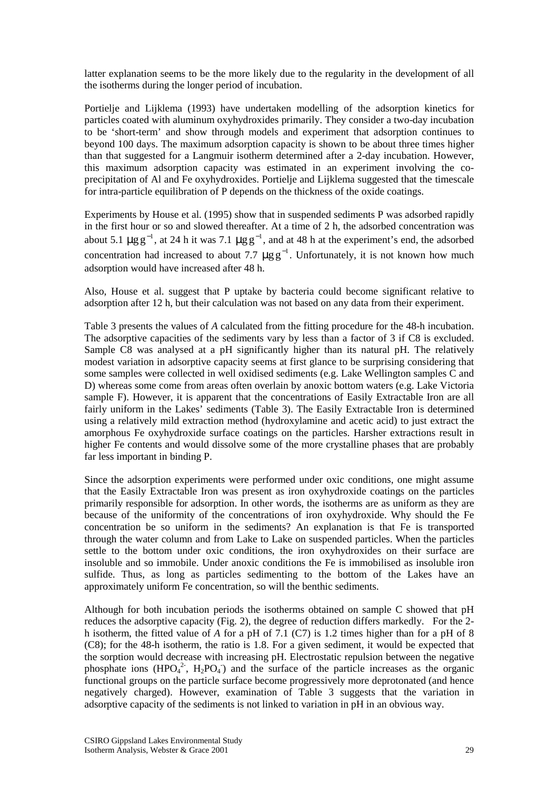latter explanation seems to be the more likely due to the regularity in the development of all the isotherms during the longer period of incubation.

Portielje and Lijklema (1993) have undertaken modelling of the adsorption kinetics for particles coated with aluminum oxyhydroxides primarily. They consider a two-day incubation to be 'short-term' and show through models and experiment that adsorption continues to beyond 100 days. The maximum adsorption capacity is shown to be about three times higher than that suggested for a Langmuir isotherm determined after a 2-day incubation. However, this maximum adsorption capacity was estimated in an experiment involving the coprecipitation of Al and Fe oxyhydroxides. Portielje and Lijklema suggested that the timescale for intra-particle equilibration of P depends on the thickness of the oxide coatings.

Experiments by House et al. (1995) show that in suspended sediments P was adsorbed rapidly in the first hour or so and slowed thereafter. At a time of 2 h, the adsorbed concentration was about 5.1  $\mu$ gg<sup>-1</sup>, at 24 h it was 7.1  $\mu$ gg<sup>-1</sup>, and at 48 h at the experiment's end, the adsorbed concentration had increased to about 7.7  $\mu$ gg<sup>-1</sup>. Unfortunately, it is not known how much adsorption would have increased after 48 h.

Also, House et al. suggest that P uptake by bacteria could become significant relative to adsorption after 12 h, but their calculation was not based on any data from their experiment.

Table 3 presents the values of *A* calculated from the fitting procedure for the 48-h incubation. The adsorptive capacities of the sediments vary by less than a factor of 3 if C8 is excluded. Sample C8 was analysed at a pH significantly higher than its natural pH. The relatively modest variation in adsorptive capacity seems at first glance to be surprising considering that some samples were collected in well oxidised sediments (e.g. Lake Wellington samples C and D) whereas some come from areas often overlain by anoxic bottom waters (e.g. Lake Victoria sample F). However, it is apparent that the concentrations of Easily Extractable Iron are all fairly uniform in the Lakes' sediments (Table 3). The Easily Extractable Iron is determined using a relatively mild extraction method (hydroxylamine and acetic acid) to just extract the amorphous Fe oxyhydroxide surface coatings on the particles. Harsher extractions result in higher Fe contents and would dissolve some of the more crystalline phases that are probably far less important in binding P.

Since the adsorption experiments were performed under oxic conditions, one might assume that the Easily Extractable Iron was present as iron oxyhydroxide coatings on the particles primarily responsible for adsorption. In other words, the isotherms are as uniform as they are because of the uniformity of the concentrations of iron oxyhydroxide. Why should the Fe concentration be so uniform in the sediments? An explanation is that Fe is transported through the water column and from Lake to Lake on suspended particles. When the particles settle to the bottom under oxic conditions, the iron oxyhydroxides on their surface are insoluble and so immobile. Under anoxic conditions the Fe is immobilised as insoluble iron sulfide. Thus, as long as particles sedimenting to the bottom of the Lakes have an approximately uniform Fe concentration, so will the benthic sediments.

Although for both incubation periods the isotherms obtained on sample C showed that pH reduces the adsorptive capacity (Fig. 2), the degree of reduction differs markedly. For the 2 h isotherm, the fitted value of *A* for a pH of 7.1 (C7) is 1.2 times higher than for a pH of 8 (C8); for the 48-h isotherm, the ratio is 1.8. For a given sediment, it would be expected that the sorption would decrease with increasing pH. Electrostatic repulsion between the negative phosphate ions  $(HPO<sub>4</sub><sup>2</sup>$ ,  $H<sub>2</sub>PO<sub>4</sub>$ ) and the surface of the particle increases as the organic functional groups on the particle surface become progressively more deprotonated (and hence negatively charged). However, examination of Table 3 suggests that the variation in adsorptive capacity of the sediments is not linked to variation in pH in an obvious way.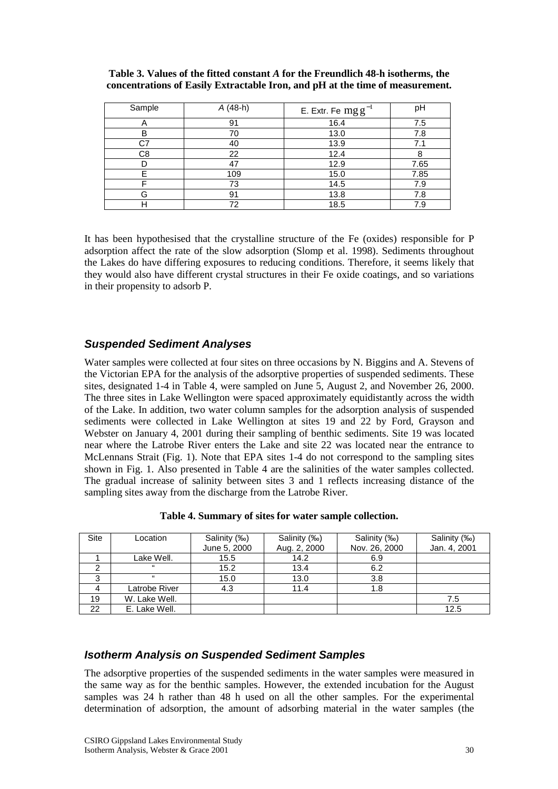| Sample | A (48-h) | E. Extr. Fe $mgg^{-1}$ | pH   |
|--------|----------|------------------------|------|
| Α      | 91       | 16.4                   | 7.5  |
| B      | 70       | 13.0                   | 7.8  |
| C7     | 40       | 13.9                   | 7.1  |
| C8     | 22       | 12.4                   |      |
|        | 47       | 12.9                   | 7.65 |
| F      | 109      | 15.0                   | 7.85 |
| ⊏      | 73       | 14.5                   | 7.9  |
| G      | 91       | 13.8                   | 7.8  |
| Н      | 72       | 18.5                   | 7.9  |

<span id="page-29-0"></span>**Table 3. Values of the fitted constant** *A* **for the Freundlich 48-h isotherms, the concentrations of Easily Extractable Iron, and pH at the time of measurement.** 

It has been hypothesised that the crystalline structure of the Fe (oxides) responsible for P adsorption affect the rate of the slow adsorption (Slomp et al. 1998). Sediments throughout the Lakes do have differing exposures to reducing conditions. Therefore, it seems likely that they would also have different crystal structures in their Fe oxide coatings, and so variations in their propensity to adsorb P.

# *Suspended Sediment Analyses*

Water samples were collected at four sites on three occasions by N. Biggins and A. Stevens of the Victorian EPA for the analysis of the adsorptive properties of suspended sediments. These sites, designated 1-4 in Table 4, were sampled on June 5, August 2, and November 26, 2000. The three sites in Lake Wellington were spaced approximately equidistantly across the width of the Lake. In addition, two water column samples for the adsorption analysis of suspended sediments were collected in Lake Wellington at sites 19 and 22 by Ford, Grayson and Webster on January 4, 2001 during their sampling of benthic sediments. Site 19 was located near where the Latrobe River enters the Lake and site 22 was located near the entrance to McLennans Strait (Fig. 1). Note that EPA sites 1-4 do not correspond to the sampling sites shown in Fig. 1. Also presented in Table 4 are the salinities of the water samples collected. The gradual increase of salinity between sites 3 and 1 reflects increasing distance of the sampling sites away from the discharge from the Latrobe River.

| <b>Site</b> | Location      | Salinity (‰)<br>June 5, 2000 | Salinity (‰)<br>Aug. 2, 2000 | Salinity (‰)<br>Nov. 26, 2000 | Salinity (‰)<br>Jan. 4, 2001 |
|-------------|---------------|------------------------------|------------------------------|-------------------------------|------------------------------|
|             | Lake Well.    | 15.5                         | 14.2                         | 6.9                           |                              |
|             |               |                              |                              |                               |                              |
|             | $^{16}$       | 15.2                         | 13.4                         | 6.2                           |                              |
| ≏           | $\epsilon$    | 15.0                         | 13.0                         | 3.8                           |                              |
|             | Latrobe River | 4.3                          | 11.4                         | 1.8                           |                              |
| 19          | W. Lake Well. |                              |                              |                               | 7.5                          |
| 22          | E. Lake Well. |                              |                              |                               | 12.5                         |

**Table 4. Summary of sites for water sample collection.** 

# *Isotherm Analysis on Suspended Sediment Samples*

The adsorptive properties of the suspended sediments in the water samples were measured in the same way as for the benthic samples. However, the extended incubation for the August samples was 24 h rather than 48 h used on all the other samples. For the experimental determination of adsorption, the amount of adsorbing material in the water samples (the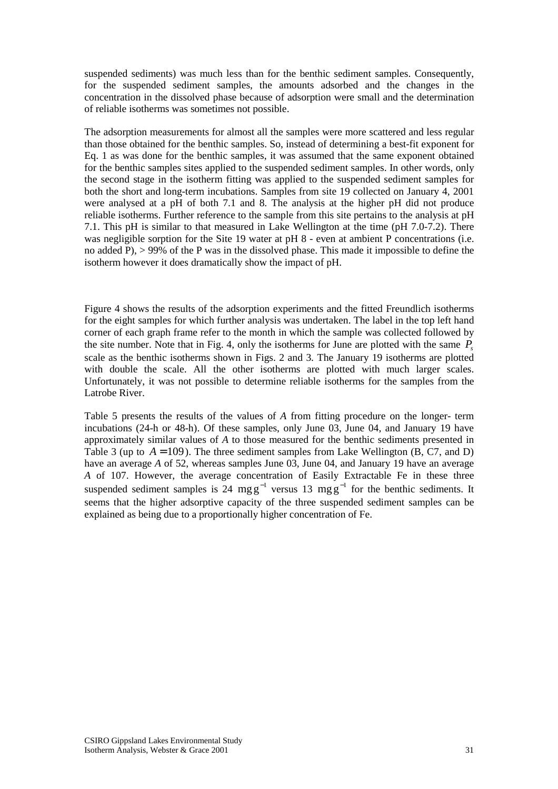suspended sediments) was much less than for the benthic sediment samples. Consequently, for the suspended sediment samples, the amounts adsorbed and the changes in the concentration in the dissolved phase because of adsorption were small and the determination of reliable isotherms was sometimes not possible.

The adsorption measurements for almost all the samples were more scattered and less regular than those obtained for the benthic samples. So, instead of determining a best-fit exponent for Eq. 1 as was done for the benthic samples, it was assumed that the same exponent obtained for the benthic samples sites applied to the suspended sediment samples. In other words, only the second stage in the isotherm fitting was applied to the suspended sediment samples for both the short and long-term incubations. Samples from site 19 collected on January 4, 2001 were analysed at a pH of both 7.1 and 8. The analysis at the higher pH did not produce reliable isotherms. Further reference to the sample from this site pertains to the analysis at pH 7.1. This pH is similar to that measured in Lake Wellington at the time (pH 7.0-7.2). There was negligible sorption for the Site 19 water at pH 8 - even at ambient P concentrations (i.e. no added P), > 99% of the P was in the dissolved phase. This made it impossible to define the isotherm however it does dramatically show the impact of pH.

Figure 4 shows the results of the adsorption experiments and the fitted Freundlich isotherms for the eight samples for which further analysis was undertaken. The label in the top left hand corner of each graph frame refer to the month in which the sample was collected followed by the site number. Note that in Fig. 4, only the isotherms for June are plotted with the same  $P<sub>s</sub>$ scale as the benthic isotherms shown in Figs. 2 and 3. The January 19 isotherms are plotted with double the scale. All the other isotherms are plotted with much larger scales. Unfortunately, it was not possible to determine reliable isotherms for the samples from the Latrobe River.

Table 5 presents the results of the values of *A* from fitting procedure on the longer- term incubations (24-h or 48-h). Of these samples, only June 03, June 04, and January 19 have approximately similar values of *A* to those measured for the benthic sediments presented in Table 3 (up to  $A = 109$ ). The three sediment samples from Lake Wellington (B, C7, and D) have an average *A* of 52, whereas samples June 03, June 04, and January 19 have an average *A* of 107. However, the average concentration of Easily Extractable Fe in these three suspended sediment samples is 24 mgg<sup>-1</sup> versus 13 mgg<sup>-1</sup> for the benthic sediments. It seems that the higher adsorptive capacity of the three suspended sediment samples can be explained as being due to a proportionally higher concentration of Fe.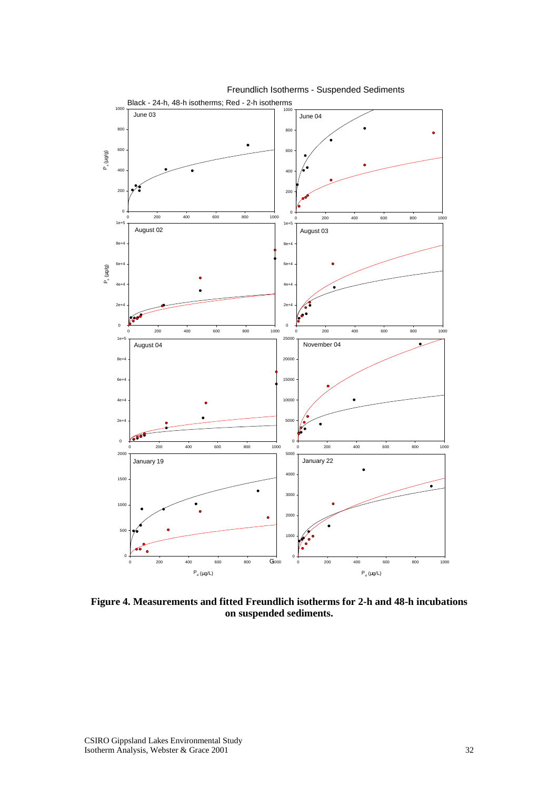

Freundlich Isotherms - Suspended Sediments

**Figure 4. Measurements and fitted Freundlich isotherms for 2-h and 48-h incubations on suspended sediments.**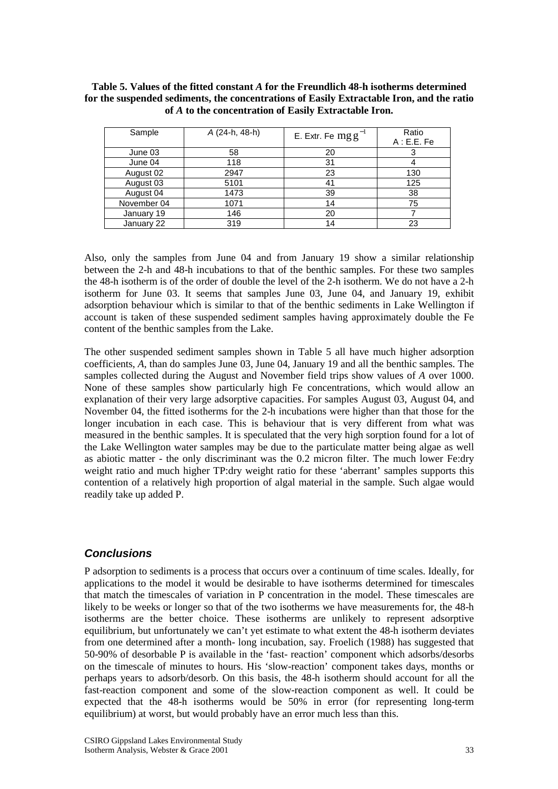#### <span id="page-32-0"></span>**Table 5. Values of the fitted constant** *A* **for the Freundlich 48-h isotherms determined for the suspended sediments, the concentrations of Easily Extractable Iron, and the ratio of** *A* **to the concentration of Easily Extractable Iron.**

| Sample      | A (24-h, 48-h) | E. Extr. Fe $mg g^{-1}$ | Ratio<br>A: E.E. Fe |
|-------------|----------------|-------------------------|---------------------|
| June 03     | 58             | 20                      |                     |
| June 04     | 118            | 31                      |                     |
| August 02   | 2947           | 23                      | 130                 |
| August 03   | 5101           | 41                      | 125                 |
| August 04   | 1473           | 39                      | 38                  |
| November 04 | 1071           | 14                      | 75                  |
| January 19  | 146            | 20                      |                     |
| January 22  | 319            | 14                      | 23                  |

Also, only the samples from June 04 and from January 19 show a similar relationship between the 2-h and 48-h incubations to that of the benthic samples. For these two samples the 48-h isotherm is of the order of double the level of the 2-h isotherm. We do not have a 2-h isotherm for June 03. It seems that samples June 03, June 04, and January 19, exhibit adsorption behaviour which is similar to that of the benthic sediments in Lake Wellington if account is taken of these suspended sediment samples having approximately double the Fe content of the benthic samples from the Lake.

The other suspended sediment samples shown in Table 5 all have much higher adsorption coefficients, *A*, than do samples June 03, June 04, January 19 and all the benthic samples. The samples collected during the August and November field trips show values of *A* over 1000. None of these samples show particularly high Fe concentrations, which would allow an explanation of their very large adsorptive capacities. For samples August 03, August 04, and November 04, the fitted isotherms for the 2-h incubations were higher than that those for the longer incubation in each case. This is behaviour that is very different from what was measured in the benthic samples. It is speculated that the very high sorption found for a lot of the Lake Wellington water samples may be due to the particulate matter being algae as well as abiotic matter - the only discriminant was the 0.2 micron filter. The much lower Fe:dry weight ratio and much higher TP:dry weight ratio for these 'aberrant' samples supports this contention of a relatively high proportion of algal material in the sample. Such algae would readily take up added P.

# *Conclusions*

P adsorption to sediments is a process that occurs over a continuum of time scales. Ideally, for applications to the model it would be desirable to have isotherms determined for timescales that match the timescales of variation in P concentration in the model. These timescales are likely to be weeks or longer so that of the two isotherms we have measurements for, the 48-h isotherms are the better choice. These isotherms are unlikely to represent adsorptive equilibrium, but unfortunately we can't yet estimate to what extent the 48-h isotherm deviates from one determined after a month- long incubation, say. Froelich (1988) has suggested that 50-90% of desorbable P is available in the 'fast- reaction' component which adsorbs/desorbs on the timescale of minutes to hours. His 'slow-reaction' component takes days, months or perhaps years to adsorb/desorb. On this basis, the 48-h isotherm should account for all the fast-reaction component and some of the slow-reaction component as well. It could be expected that the 48-h isotherms would be 50% in error (for representing long-term equilibrium) at worst, but would probably have an error much less than this.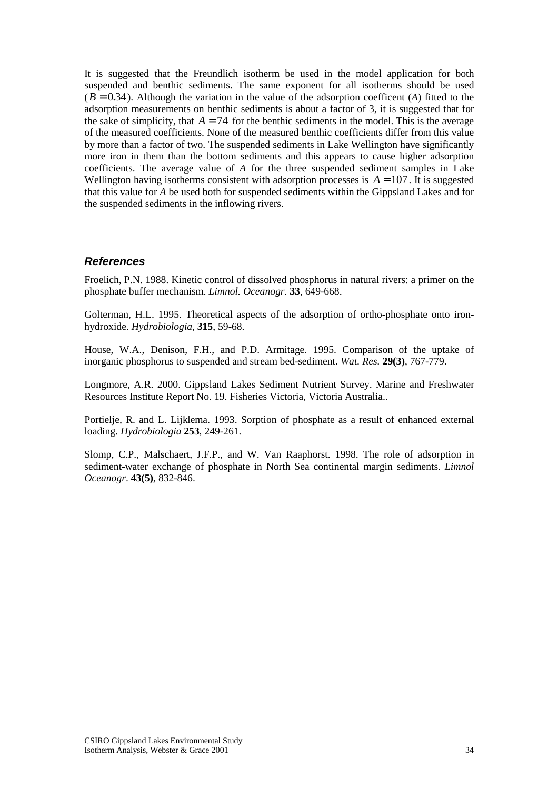<span id="page-33-0"></span>It is suggested that the Freundlich isotherm be used in the model application for both suspended and benthic sediments. The same exponent for all isotherms should be used  $(B = 0.34)$ . Although the variation in the value of the adsorption coefficent (*A*) fitted to the adsorption measurements on benthic sediments is about a factor of 3, it is suggested that for the sake of simplicity, that  $A = 74$  for the benthic sediments in the model. This is the average of the measured coefficients. None of the measured benthic coefficients differ from this value by more than a factor of two. The suspended sediments in Lake Wellington have significantly more iron in them than the bottom sediments and this appears to cause higher adsorption coefficients. The average value of *A* for the three suspended sediment samples in Lake Wellington having isotherms consistent with adsorption processes is  $A = 107$ . It is suggested that this value for *A* be used both for suspended sediments within the Gippsland Lakes and for the suspended sediments in the inflowing rivers.

# *References*

Froelich, P.N. 1988. Kinetic control of dissolved phosphorus in natural rivers: a primer on the phosphate buffer mechanism. *Limnol. Oceanogr.* **33**, 649-668.

Golterman, H.L. 1995. Theoretical aspects of the adsorption of ortho-phosphate onto ironhydroxide. *Hydrobiologia*, **315**, 59-68.

House, W.A., Denison, F.H., and P.D. Armitage. 1995. Comparison of the uptake of inorganic phosphorus to suspended and stream bed-sediment. *Wat. Res.* **29(3)**, 767-779.

Longmore, A.R. 2000. Gippsland Lakes Sediment Nutrient Survey. Marine and Freshwater Resources Institute Report No. 19. Fisheries Victoria, Victoria Australia..

Portielje, R. and L. Lijklema. 1993. Sorption of phosphate as a result of enhanced external loading. *Hydrobiologia* **253**, 249-261.

Slomp, C.P., Malschaert, J.F.P., and W. Van Raaphorst. 1998. The role of adsorption in sediment-water exchange of phosphate in North Sea continental margin sediments. *Limnol Oceanogr*. **43(5)**, 832-846.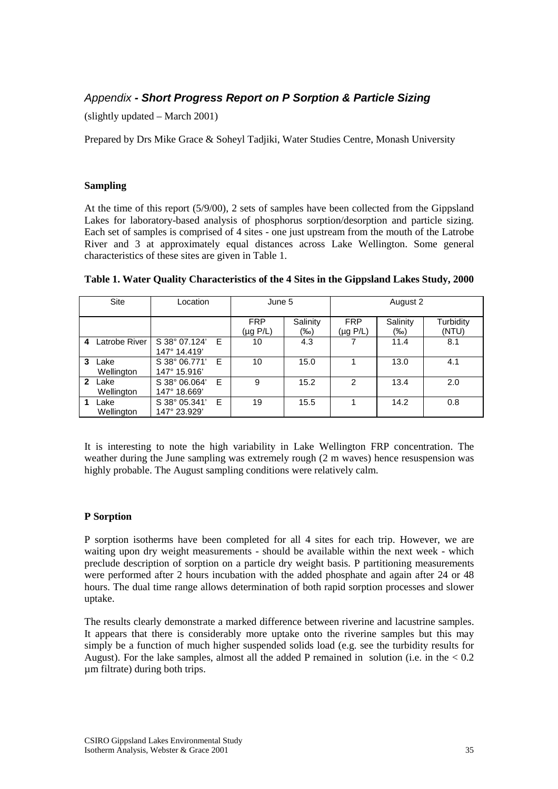# <span id="page-34-0"></span>*Appendix - Short Progress Report on P Sorption & Particle Sizing*

(slightly updated – March 2001)

Prepared by Drs Mike Grace & Soheyl Tadjiki, Water Studies Centre, Monash University

### **Sampling**

At the time of this report (5/9/00), 2 sets of samples have been collected from the Gippsland Lakes for laboratory-based analysis of phosphorus sorption/desorption and particle sizing. Each set of samples is comprised of 4 sites - one just upstream from the mouth of the Latrobe River and 3 at approximately equal distances across Lake Wellington. Some general characteristics of these sites are given in Table 1.

|   | <b>Site</b>        | Location                      |   | June 5                      |                 | August 2                    |                 |                    |
|---|--------------------|-------------------------------|---|-----------------------------|-----------------|-----------------------------|-----------------|--------------------|
|   |                    |                               |   | <b>FRP</b><br>$(\mu g P/L)$ | Salinity<br>(‰) | <b>FRP</b><br>$(\mu g P/L)$ | Salinity<br>(‰) | Turbidity<br>(NTU) |
| 4 | Latrobe River      | S 38° 07.124'<br>147° 14.419' | E | 10                          | 4.3             |                             | 11.4            | 8.1                |
| 3 | Lake<br>Wellington | S 38° 06.771'<br>147° 15.916' | E | 10                          | 15.0            |                             | 13.0            | 4.1                |
| 2 | Lake<br>Wellington | S 38° 06.064'<br>147° 18.669' | Е | 9                           | 15.2            | 2                           | 13.4            | 2.0                |
|   | Lake<br>Wellington | S 38° 05.341'<br>147° 23.929' | E | 19                          | 15.5            |                             | 14.2            | 0.8                |

#### **Table 1. Water Quality Characteristics of the 4 Sites in the Gippsland Lakes Study, 2000**

It is interesting to note the high variability in Lake Wellington FRP concentration. The weather during the June sampling was extremely rough (2 m waves) hence resuspension was highly probable. The August sampling conditions were relatively calm.

#### **P Sorption**

P sorption isotherms have been completed for all 4 sites for each trip. However, we are waiting upon dry weight measurements - should be available within the next week - which preclude description of sorption on a particle dry weight basis. P partitioning measurements were performed after 2 hours incubation with the added phosphate and again after 24 or 48 hours. The dual time range allows determination of both rapid sorption processes and slower uptake.

The results clearly demonstrate a marked difference between riverine and lacustrine samples. It appears that there is considerably more uptake onto the riverine samples but this may simply be a function of much higher suspended solids load (e.g. see the turbidity results for August). For the lake samples, almost all the added P remained in solution (i.e. in the  $< 0.2$ ) µm filtrate) during both trips.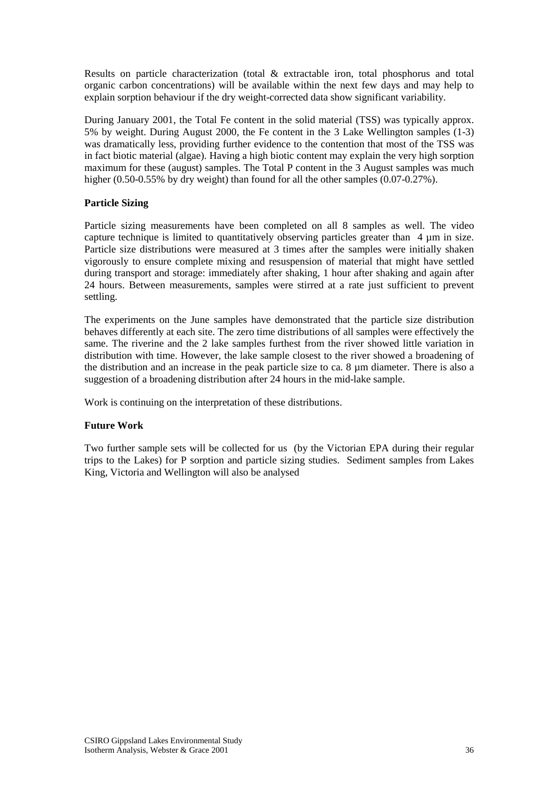Results on particle characterization (total & extractable iron, total phosphorus and total organic carbon concentrations) will be available within the next few days and may help to explain sorption behaviour if the dry weight-corrected data show significant variability.

During January 2001, the Total Fe content in the solid material (TSS) was typically approx. 5% by weight. During August 2000, the Fe content in the 3 Lake Wellington samples (1-3) was dramatically less, providing further evidence to the contention that most of the TSS was in fact biotic material (algae). Having a high biotic content may explain the very high sorption maximum for these (august) samples. The Total P content in the 3 August samples was much higher (0.50-0.55% by dry weight) than found for all the other samples (0.07-0.27%).

# **Particle Sizing**

Particle sizing measurements have been completed on all 8 samples as well. The video capture technique is limited to quantitatively observing particles greater than 4  $\mu$ m in size. Particle size distributions were measured at 3 times after the samples were initially shaken vigorously to ensure complete mixing and resuspension of material that might have settled during transport and storage: immediately after shaking, 1 hour after shaking and again after 24 hours. Between measurements, samples were stirred at a rate just sufficient to prevent settling.

The experiments on the June samples have demonstrated that the particle size distribution behaves differently at each site. The zero time distributions of all samples were effectively the same. The riverine and the 2 lake samples furthest from the river showed little variation in distribution with time. However, the lake sample closest to the river showed a broadening of the distribution and an increase in the peak particle size to ca. 8 µm diameter. There is also a suggestion of a broadening distribution after 24 hours in the mid-lake sample.

Work is continuing on the interpretation of these distributions.

#### **Future Work**

Two further sample sets will be collected for us (by the Victorian EPA during their regular trips to the Lakes) for P sorption and particle sizing studies. Sediment samples from Lakes King, Victoria and Wellington will also be analysed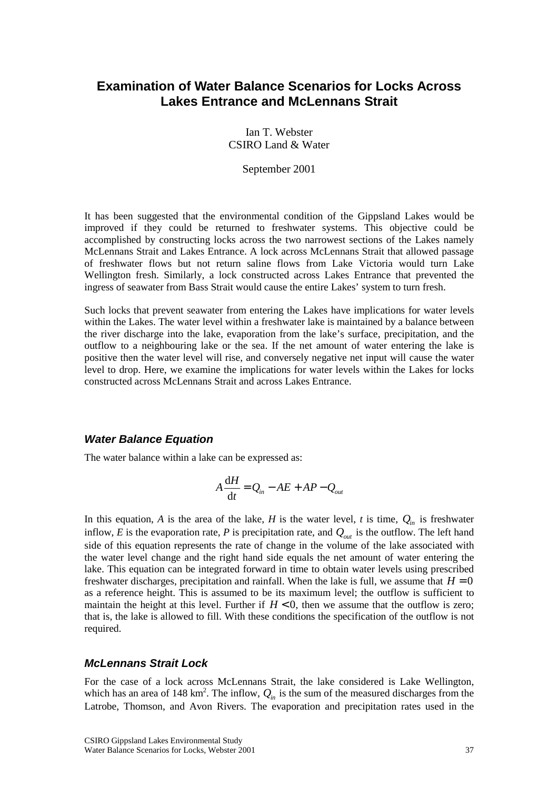# <span id="page-36-0"></span>**Examination of Water Balance Scenarios for Locks Across Lakes Entrance and McLennans Strait**

Ian T. Webster CSIRO Land & Water

September 2001

It has been suggested that the environmental condition of the Gippsland Lakes would be improved if they could be returned to freshwater systems. This objective could be accomplished by constructing locks across the two narrowest sections of the Lakes namely McLennans Strait and Lakes Entrance. A lock across McLennans Strait that allowed passage of freshwater flows but not return saline flows from Lake Victoria would turn Lake Wellington fresh. Similarly, a lock constructed across Lakes Entrance that prevented the ingress of seawater from Bass Strait would cause the entire Lakes' system to turn fresh.

Such locks that prevent seawater from entering the Lakes have implications for water levels within the Lakes. The water level within a freshwater lake is maintained by a balance between the river discharge into the lake, evaporation from the lake's surface, precipitation, and the outflow to a neighbouring lake or the sea. If the net amount of water entering the lake is positive then the water level will rise, and conversely negative net input will cause the water level to drop. Here, we examine the implications for water levels within the Lakes for locks constructed across McLennans Strait and across Lakes Entrance.

# *Water Balance Equation*

The water balance within a lake can be expressed as:

$$
A\frac{\mathrm{d}H}{\mathrm{d}t}=Q_{in}-AE+AP-Q_{out}
$$

In this equation, *A* is the area of the lake, *H* is the water level, *t* is time,  $Q_{in}$  is freshwater inflow, *E* is the evaporation rate, *P* is precipitation rate, and  $Q_{out}$  is the outflow. The left hand side of this equation represents the rate of change in the volume of the lake associated with the water level change and the right hand side equals the net amount of water entering the lake. This equation can be integrated forward in time to obtain water levels using prescribed freshwater discharges, precipitation and rainfall. When the lake is full, we assume that  $H = 0$ as a reference height. This is assumed to be its maximum level; the outflow is sufficient to maintain the height at this level. Further if  $H < 0$ , then we assume that the outflow is zero; that is, the lake is allowed to fill. With these conditions the specification of the outflow is not required.

# *McLennans Strait Lock*

For the case of a lock across McLennans Strait, the lake considered is Lake Wellington, which has an area of 148 km<sup>2</sup>. The inflow,  $Q_{in}$  is the sum of the measured discharges from the Latrobe, Thomson, and Avon Rivers. The evaporation and precipitation rates used in the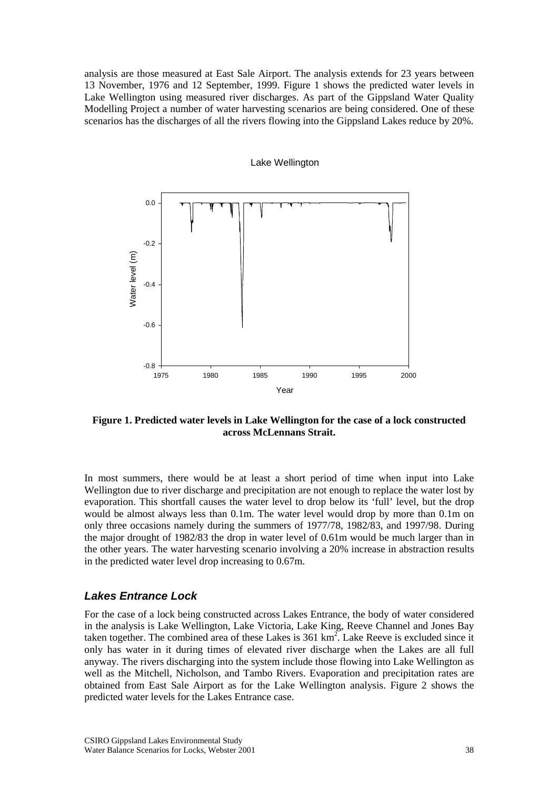<span id="page-37-0"></span>analysis are those measured at East Sale Airport. The analysis extends for 23 years between 13 November, 1976 and 12 September, 1999. Figure 1 shows the predicted water levels in Lake Wellington using measured river discharges. As part of the Gippsland Water Quality Modelling Project a number of water harvesting scenarios are being considered. One of these scenarios has the discharges of all the rivers flowing into the Gippsland Lakes reduce by 20%.

# Lake Wellington



**Figure 1. Predicted water levels in Lake Wellington for the case of a lock constructed across McLennans Strait.** 

In most summers, there would be at least a short period of time when input into Lake Wellington due to river discharge and precipitation are not enough to replace the water lost by evaporation. This shortfall causes the water level to drop below its 'full' level, but the drop would be almost always less than 0.1m. The water level would drop by more than 0.1m on only three occasions namely during the summers of 1977/78, 1982/83, and 1997/98. During the major drought of 1982/83 the drop in water level of 0.61m would be much larger than in the other years. The water harvesting scenario involving a 20% increase in abstraction results in the predicted water level drop increasing to 0.67m.

# *Lakes Entrance Lock*

For the case of a lock being constructed across Lakes Entrance, the body of water considered in the analysis is Lake Wellington, Lake Victoria, Lake King, Reeve Channel and Jones Bay taken together. The combined area of these Lakes is  $361 \text{ km}^2$ . Lake Reeve is excluded since it only has water in it during times of elevated river discharge when the Lakes are all full anyway. The rivers discharging into the system include those flowing into Lake Wellington as well as the Mitchell, Nicholson, and Tambo Rivers. Evaporation and precipitation rates are obtained from East Sale Airport as for the Lake Wellington analysis. Figure 2 shows the predicted water levels for the Lakes Entrance case.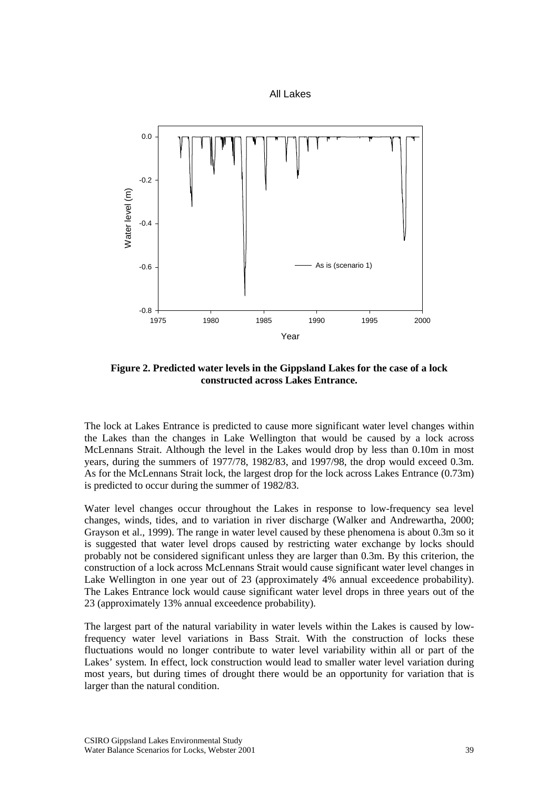



**Figure 2. Predicted water levels in the Gippsland Lakes for the case of a lock constructed across Lakes Entrance.** 

The lock at Lakes Entrance is predicted to cause more significant water level changes within the Lakes than the changes in Lake Wellington that would be caused by a lock across McLennans Strait. Although the level in the Lakes would drop by less than 0.10m in most years, during the summers of 1977/78, 1982/83, and 1997/98, the drop would exceed 0.3m. As for the McLennans Strait lock, the largest drop for the lock across Lakes Entrance (0.73m) is predicted to occur during the summer of 1982/83.

Water level changes occur throughout the Lakes in response to low-frequency sea level changes, winds, tides, and to variation in river discharge (Walker and Andrewartha, 2000; Grayson et al., 1999). The range in water level caused by these phenomena is about 0.3m so it is suggested that water level drops caused by restricting water exchange by locks should probably not be considered significant unless they are larger than 0.3m. By this criterion, the construction of a lock across McLennans Strait would cause significant water level changes in Lake Wellington in one year out of 23 (approximately 4% annual exceedence probability). The Lakes Entrance lock would cause significant water level drops in three years out of the 23 (approximately 13% annual exceedence probability).

The largest part of the natural variability in water levels within the Lakes is caused by lowfrequency water level variations in Bass Strait. With the construction of locks these fluctuations would no longer contribute to water level variability within all or part of the Lakes' system. In effect, lock construction would lead to smaller water level variation during most years, but during times of drought there would be an opportunity for variation that is larger than the natural condition.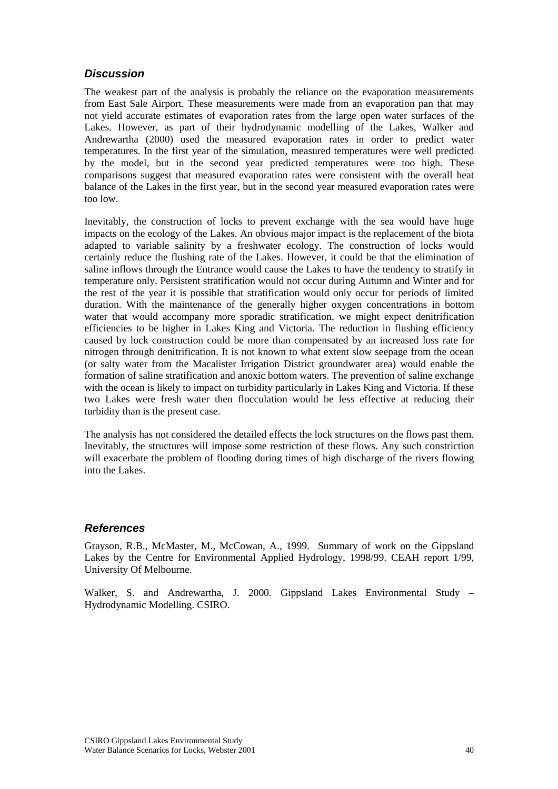# <span id="page-39-0"></span>*Discussion*

The weakest part of the analysis is probably the reliance on the evaporation measurements from East Sale Airport. These measurements were made from an evaporation pan that may not yield accurate estimates of evaporation rates from the large open water surfaces of the Lakes. However, as part of their hydrodynamic modelling of the Lakes, Walker and Andrewartha (2000) used the measured evaporation rates in order to predict water temperatures. In the first year of the simulation, measured temperatures were well predicted by the model, but in the second year predicted temperatures were too high. These comparisons suggest that measured evaporation rates were consistent with the overall heat balance of the Lakes in the first year, but in the second year measured evaporation rates were too low.

Inevitably, the construction of locks to prevent exchange with the sea would have huge impacts on the ecology of the Lakes. An obvious major impact is the replacement of the biota adapted to variable salinity by a freshwater ecology. The construction of locks would certainly reduce the flushing rate of the Lakes. However, it could be that the elimination of saline inflows through the Entrance would cause the Lakes to have the tendency to stratify in temperature only. Persistent stratification would not occur during Autumn and Winter and for the rest of the year it is possible that stratification would only occur for periods of limited duration. With the maintenance of the generally higher oxygen concentrations in bottom water that would accompany more sporadic stratification, we might expect denitrification efficiencies to be higher in Lakes King and Victoria. The reduction in flushing efficiency caused by lock construction could be more than compensated by an increased loss rate for nitrogen through denitrification. It is not known to what extent slow seepage from the ocean (or salty water from the Macalister Irrigation District groundwater area) would enable the formation of saline stratification and anoxic bottom waters. The prevention of saline exchange with the ocean is likely to impact on turbidity particularly in Lakes King and Victoria. If these two Lakes were fresh water then flocculation would be less effective at reducing their turbidity than is the present case.

The analysis has not considered the detailed effects the lock structures on the flows past them. Inevitably, the structures will impose some restriction of these flows. Any such constriction will exacerbate the problem of flooding during times of high discharge of the rivers flowing into the Lakes.

# *References*

Grayson, R.B., McMaster, M., McCowan, A., 1999. Summary of work on the Gippsland Lakes by the Centre for Environmental Applied Hydrology, 1998/99. CEAH report 1/99, University Of Melbourne.

Walker, S. and Andrewartha, J. 2000. Gippsland Lakes Environmental Study – Hydrodynamic Modelling. CSIRO.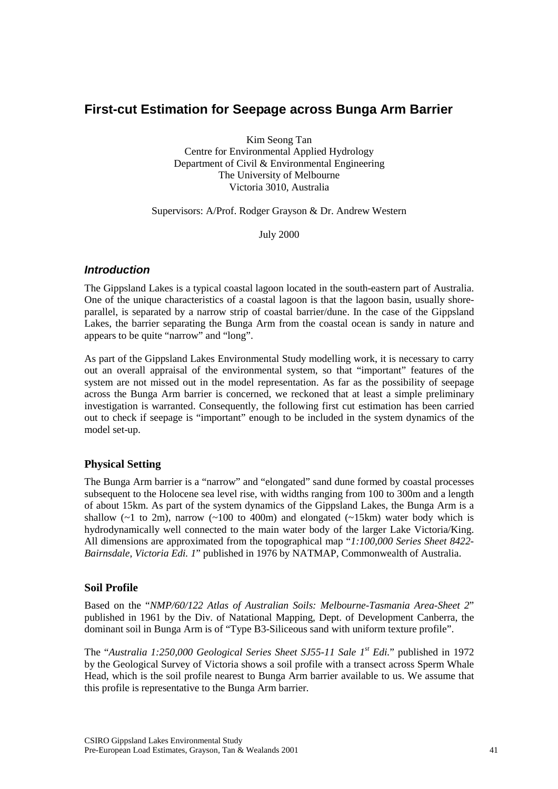# <span id="page-40-0"></span>**First-cut Estimation for Seepage across Bunga Arm Barrier**

Kim Seong Tan Centre for Environmental Applied Hydrology Department of Civil & Environmental Engineering The University of Melbourne Victoria 3010, Australia

Supervisors: A/Prof. Rodger Grayson & Dr. Andrew Western

July 2000

# *Introduction*

The Gippsland Lakes is a typical coastal lagoon located in the south-eastern part of Australia. One of the unique characteristics of a coastal lagoon is that the lagoon basin, usually shoreparallel, is separated by a narrow strip of coastal barrier/dune. In the case of the Gippsland Lakes, the barrier separating the Bunga Arm from the coastal ocean is sandy in nature and appears to be quite "narrow" and "long".

As part of the Gippsland Lakes Environmental Study modelling work, it is necessary to carry out an overall appraisal of the environmental system, so that "important" features of the system are not missed out in the model representation. As far as the possibility of seepage across the Bunga Arm barrier is concerned, we reckoned that at least a simple preliminary investigation is warranted. Consequently, the following first cut estimation has been carried out to check if seepage is "important" enough to be included in the system dynamics of the model set-up.

# **Physical Setting**

The Bunga Arm barrier is a "narrow" and "elongated" sand dune formed by coastal processes subsequent to the Holocene sea level rise, with widths ranging from 100 to 300m and a length of about 15km. As part of the system dynamics of the Gippsland Lakes, the Bunga Arm is a shallow  $(\sim 1$  to 2m), narrow  $(\sim 100$  to 400m) and elongated  $(\sim 15 \text{km})$  water body which is hydrodynamically well connected to the main water body of the larger Lake Victoria/King. All dimensions are approximated from the topographical map "*1:100,000 Series Sheet 8422- Bairnsdale, Victoria Edi. 1*" published in 1976 by NATMAP, Commonwealth of Australia.

# **Soil Profile**

Based on the "*NMP/60/122 Atlas of Australian Soils: Melbourne-Tasmania Area-Sheet 2*" published in 1961 by the Div. of Natational Mapping, Dept. of Development Canberra, the dominant soil in Bunga Arm is of "Type B3-Siliceous sand with uniform texture profile".

The "*Australia 1:250,000 Geological Series Sheet SJ55-11 Sale 1st Edi.*" published in 1972 by the Geological Survey of Victoria shows a soil profile with a transect across Sperm Whale Head, which is the soil profile nearest to Bunga Arm barrier available to us. We assume that this profile is representative to the Bunga Arm barrier.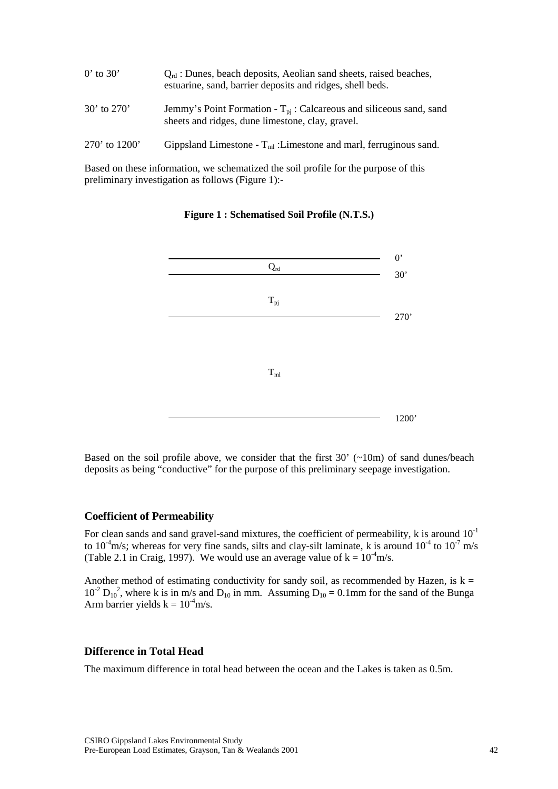| $0'$ to 30'     | $Q_{\rm rd}$ : Dunes, beach deposits, Aeolian sand sheets, raised beaches,<br>estuarine, sand, barrier deposits and ridges, shell beds. |
|-----------------|-----------------------------------------------------------------------------------------------------------------------------------------|
| $30'$ to $270'$ | Jemmy's Point Formation - $T_{pi}$ : Calcareous and siliceous sand, sand<br>sheets and ridges, dune limestone, clay, gravel.            |
| 270' to $1200'$ | Gippsland Limestone - $T_{ml}$ : Limestone and marl, ferruginous sand.                                                                  |

Based on these information, we schematized the soil profile for the purpose of this preliminary investigation as follows (Figure 1):-

Qrd  $0^{\prime}$ 30' 270' 1200'  $T_{pj}$  $T<sub>ml</sub>$ 

**Figure 1 : Schematised Soil Profile (N.T.S.)** 

Based on the soil profile above, we consider that the first  $30'$  ( $\sim$ 10m) of sand dunes/beach deposits as being "conductive" for the purpose of this preliminary seepage investigation.

#### **Coefficient of Permeability**

For clean sands and sand gravel-sand mixtures, the coefficient of permeability,  $k$  is around  $10^{-1}$ to  $10^{-4}$ m/s; whereas for very fine sands, silts and clay-silt laminate, k is around  $10^{-4}$  to  $10^{-7}$  m/s (Table 2.1 in Craig, 1997). We would use an average value of  $k = 10<sup>-4</sup>m/s$ .

Another method of estimating conductivity for sandy soil, as recommended by Hazen, is  $k =$  $10^{-2} D_{10}^2$ , where k is in m/s and  $D_{10}$  in mm. Assuming  $D_{10} = 0.1$  mm for the sand of the Bunga Arm barrier yields  $k = 10^{-4}$ m/s.

### **Difference in Total Head**

The maximum difference in total head between the ocean and the Lakes is taken as 0.5m.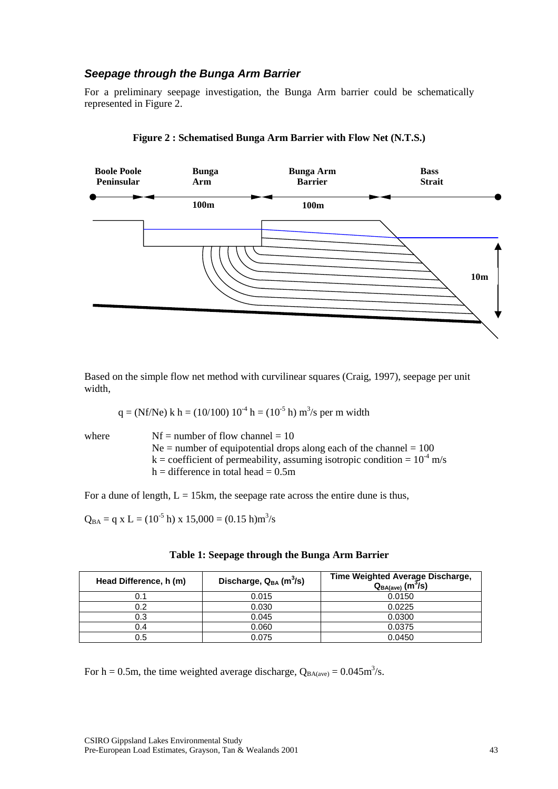# <span id="page-42-0"></span>*Seepage through the Bunga Arm Barrier*

For a preliminary seepage investigation, the Bunga Arm barrier could be schematically represented in Figure 2.





Based on the simple flow net method with curvilinear squares (Craig, 1997), seepage per unit width,

q = (Nf/Ne) k h = (10/100) 10-4 h = (10-5 h) m3 /s per m width

where  $Nf =$  number of flow channel = 10  $Ne =$  number of equipotential drops along each of the channel = 100  $k =$  coefficient of permeability, assuming isotropic condition =  $10^{-4}$  m/s  $h =$  difference in total head = 0.5m

For a dune of length,  $L = 15km$ , the seepage rate across the entire dune is thus,

 $Q_{BA} = q \times L = (10^{-5} \text{ h}) \times 15,000 = (0.15 \text{ h}) \text{m}^3/\text{s}$ 

| Head Difference, h (m) | Discharge, $Q_{BA}$ (m <sup>3</sup> /s) | Time Weighted Average Discharge,<br>$Q_{BA(ave)}$ (m <sup>3</sup> /s) |
|------------------------|-----------------------------------------|-----------------------------------------------------------------------|
|                        | 0.015                                   | 0.0150                                                                |
| 0.2                    | 0.030                                   | 0.0225                                                                |
| 0.3                    | 0.045                                   | 0.0300                                                                |
| 0.4                    | 0.060                                   | 0.0375                                                                |
| 0.5                    | 0.075                                   | 0.0450                                                                |

|  |  |  |  |  | Table 1: Seepage through the Bunga Arm Barrier |
|--|--|--|--|--|------------------------------------------------|
|--|--|--|--|--|------------------------------------------------|

For h = 0.5m, the time weighted average discharge,  $Q_{BA(ave)} = 0.045 \text{m}^3/\text{s}$ .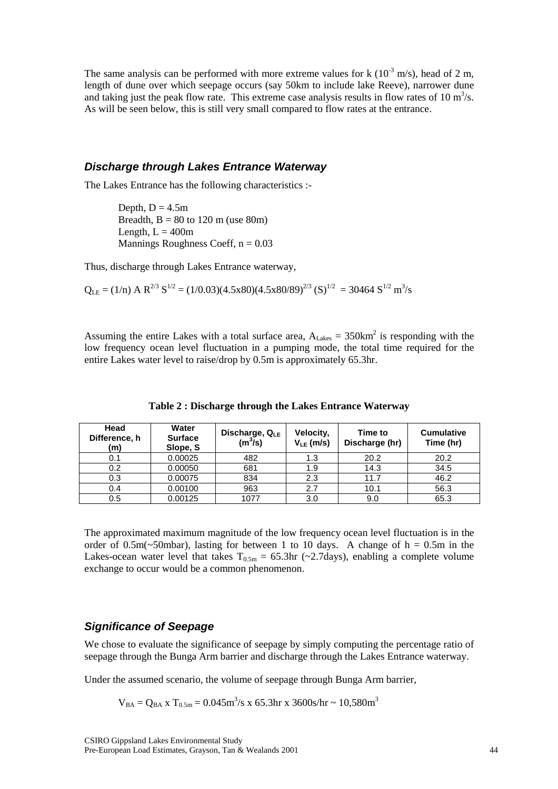<span id="page-43-0"></span>The same analysis can be performed with more extreme values for k  $(10^{-3} \text{ m/s})$ , head of 2 m, length of dune over which seepage occurs (say 50km to include lake Reeve), narrower dune and taking just the peak flow rate. This extreme case analysis results in flow rates of 10  $m^3/s$ . As will be seen below, this is still very small compared to flow rates at the entrance.

#### *Discharge through Lakes Entrance Waterway*

The Lakes Entrance has the following characteristics :-

Depth,  $D = 4.5m$ Breadth,  $B = 80$  to 120 m (use 80m) Length,  $L = 400$ m Mannings Roughness Coeff,  $n = 0.03$ 

Thus, discharge through Lakes Entrance waterway,

 $Q_{LE} = (1/n)$  A  $R^{2/3}$   $S^{1/2} = (1/0.03)(4.5x80)(4.5x80/89)^{2/3}$   $(S)^{1/2} = 30464$   $S^{1/2}$   $m^3/s$ 

Assuming the entire Lakes with a total surface area,  $A_{\text{Lakes}} = 350 \text{km}^2$  is responding with the low frequency ocean level fluctuation in a pumping mode, the total time required for the entire Lakes water level to raise/drop by 0.5m is approximately 65.3hr.

| Head<br>Difference, h<br>(m) | Water<br><b>Surface</b><br>Slope, S | Discharge, QLE<br>$(m^3/s)$ | Velocity,<br>$V_{LE}(m/s)$ | Time to<br>Discharge (hr) | <b>Cumulative</b><br>Time (hr) |
|------------------------------|-------------------------------------|-----------------------------|----------------------------|---------------------------|--------------------------------|
| 0.1                          | 0.00025                             | 482                         | 1.3                        | 20.2                      | 20.2                           |
| 0.2                          | 0.00050                             | 681                         | 1.9                        | 14.3                      | 34.5                           |
| 0.3                          | 0.00075                             | 834                         | 2.3                        | 11.7                      | 46.2                           |
| 0.4                          | 0.00100                             | 963                         | 2.7                        | 10.1                      | 56.3                           |
| 0.5                          | 0.00125                             | 1077                        | 3.0                        | 9.0                       | 65.3                           |

**Table 2 : Discharge through the Lakes Entrance Waterway** 

The approximated maximum magnitude of the low frequency ocean level fluctuation is in the order of 0.5m( $\sim$ 50mbar), lasting for between 1 to 10 days. A change of h = 0.5m in the Lakes-ocean water level that takes  $T_{0.5m} = 65.3$ hr (~2.7days), enabling a complete volume exchange to occur would be a common phenomenon.

#### *Significance of Seepage*

We chose to evaluate the significance of seepage by simply computing the percentage ratio of seepage through the Bunga Arm barrier and discharge through the Lakes Entrance waterway.

Under the assumed scenario, the volume of seepage through Bunga Arm barrier,

 $V_{BA} = Q_{BA} x T_{0.5m} = 0.045 m^3/s x 65.3 hr x 3600 s/hr ~ 10,580 m^3$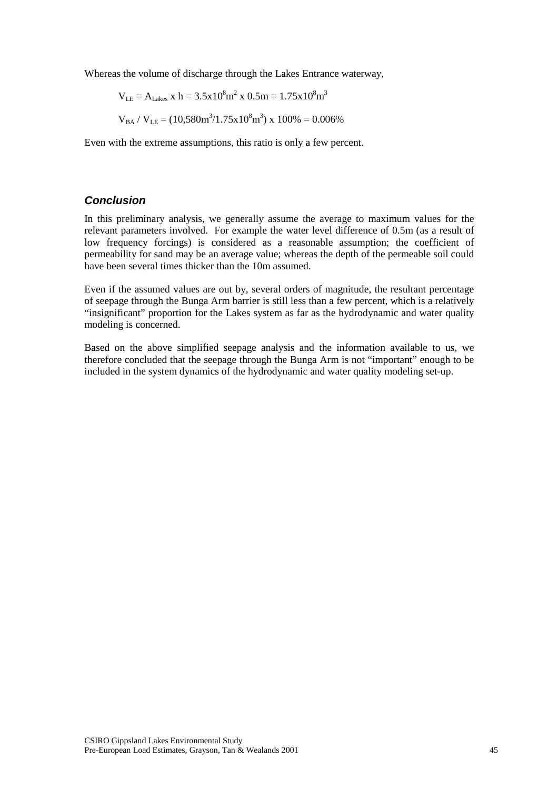<span id="page-44-0"></span>Whereas the volume of discharge through the Lakes Entrance waterway,

$$
V_{LE} = A_{Lakes} \; x \; h = 3.5x10^8 m^2 \; x \; 0.5 m = 1.75x10^8 m^3
$$

$$
V_{BA} / V_{LE} = (10{,}580m^3/1.75x10^8m^3) \times 100\% = 0.006\%
$$

Even with the extreme assumptions, this ratio is only a few percent.

# *Conclusion*

In this preliminary analysis, we generally assume the average to maximum values for the relevant parameters involved. For example the water level difference of 0.5m (as a result of low frequency forcings) is considered as a reasonable assumption; the coefficient of permeability for sand may be an average value; whereas the depth of the permeable soil could have been several times thicker than the 10m assumed.

Even if the assumed values are out by, several orders of magnitude, the resultant percentage of seepage through the Bunga Arm barrier is still less than a few percent, which is a relatively "insignificant" proportion for the Lakes system as far as the hydrodynamic and water quality modeling is concerned.

Based on the above simplified seepage analysis and the information available to us, we therefore concluded that the seepage through the Bunga Arm is not "important" enough to be included in the system dynamics of the hydrodynamic and water quality modeling set-up.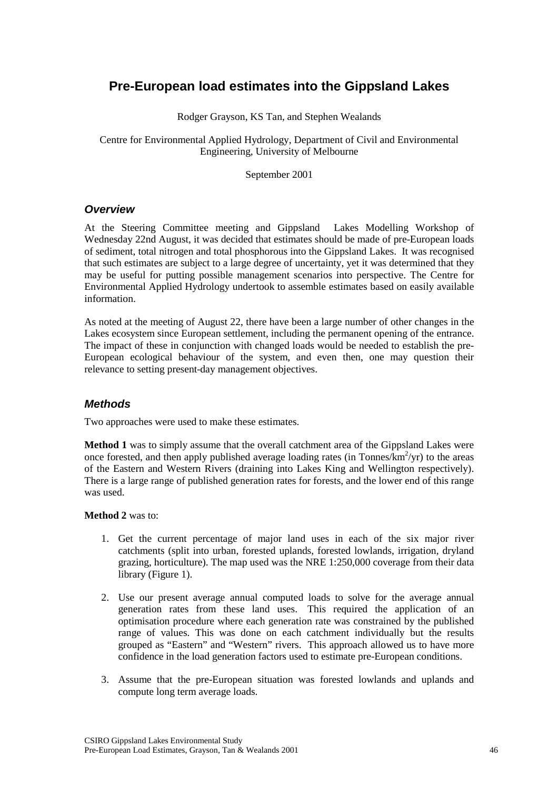# <span id="page-45-0"></span>**Pre-European load estimates into the Gippsland Lakes**

Rodger Grayson, KS Tan, and Stephen Wealands

Centre for Environmental Applied Hydrology, Department of Civil and Environmental Engineering, University of Melbourne

September 2001

#### *Overview*

At the Steering Committee meeting and Gippsland Lakes Modelling Workshop of Wednesday 22nd August, it was decided that estimates should be made of pre-European loads of sediment, total nitrogen and total phosphorous into the Gippsland Lakes. It was recognised that such estimates are subject to a large degree of uncertainty, yet it was determined that they may be useful for putting possible management scenarios into perspective. The Centre for Environmental Applied Hydrology undertook to assemble estimates based on easily available information.

As noted at the meeting of August 22, there have been a large number of other changes in the Lakes ecosystem since European settlement, including the permanent opening of the entrance. The impact of these in conjunction with changed loads would be needed to establish the pre-European ecological behaviour of the system, and even then, one may question their relevance to setting present-day management objectives.

# *Methods*

Two approaches were used to make these estimates.

**Method 1** was to simply assume that the overall catchment area of the Gippsland Lakes were once forested, and then apply published average loading rates (in Tonnes/ $\widehat{k}$ m<sup>2</sup>/yr) to the areas of the Eastern and Western Rivers (draining into Lakes King and Wellington respectively). There is a large range of published generation rates for forests, and the lower end of this range was used.

#### **Method 2** was to:

- 1. Get the current percentage of major land uses in each of the six major river catchments (split into urban, forested uplands, forested lowlands, irrigation, dryland grazing, horticulture). The map used was the NRE 1:250,000 coverage from their data library (Figure 1).
- 2. Use our present average annual computed loads to solve for the average annual generation rates from these land uses. This required the application of an optimisation procedure where each generation rate was constrained by the published range of values. This was done on each catchment individually but the results grouped as "Eastern" and "Western" rivers. This approach allowed us to have more confidence in the load generation factors used to estimate pre-European conditions.
- 3. Assume that the pre-European situation was forested lowlands and uplands and compute long term average loads.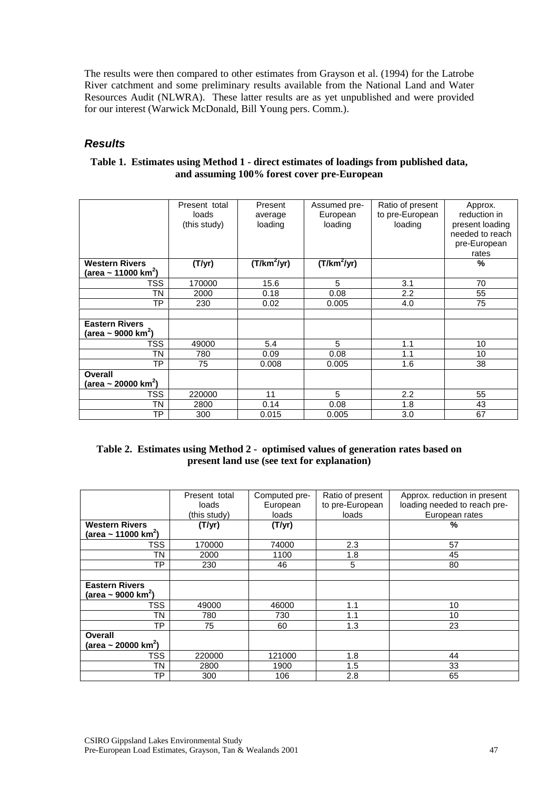<span id="page-46-0"></span>The results were then compared to other estimates from Grayson et al. (1994) for the Latrobe River catchment and some preliminary results available from the National Land and Water Resources Audit (NLWRA). These latter results are as yet unpublished and were provided for our interest (Warwick McDonald, Bill Young pers. Comm.).

# *Results*

| Table 1. Estimates using Method 1 - direct estimates of loadings from published data, |
|---------------------------------------------------------------------------------------|
| and assuming 100% forest cover pre-European                                           |

|                                                   | Present total<br>loads<br>(this study) | Present<br>average<br>loading | Assumed pre-<br>European<br>loading | Ratio of present<br>to pre-European<br>loading | Approx.<br>reduction in<br>present loading<br>needed to reach<br>pre-European<br>rates |
|---------------------------------------------------|----------------------------------------|-------------------------------|-------------------------------------|------------------------------------------------|----------------------------------------------------------------------------------------|
| <b>Western Rivers</b>                             | (T/yr)                                 | $(T/km^2/yr)$                 | $(T/km^2/yr)$                       |                                                | %                                                                                      |
| (area ~ 11000 km <sup>2</sup> )                   |                                        |                               |                                     |                                                |                                                                                        |
| TSS                                               | 170000                                 | 15.6                          | 5                                   | 3.1                                            | 70                                                                                     |
| ΤN                                                | 2000                                   | 0.18                          | 0.08                                | 2.2                                            | 55                                                                                     |
| TP                                                | 230                                    | 0.02                          | 0.005                               | 4.0                                            | 75                                                                                     |
|                                                   |                                        |                               |                                     |                                                |                                                                                        |
| <b>Eastern Rivers</b>                             |                                        |                               |                                     |                                                |                                                                                        |
| (area ~ 9000 km <sup>2</sup> )                    |                                        |                               |                                     |                                                |                                                                                        |
| TSS                                               | 49000                                  | 5.4                           | 5                                   | 1.1                                            | 10                                                                                     |
| ΤN                                                | 780                                    | 0.09                          | 0.08                                | 1.1                                            | 10                                                                                     |
| <b>TP</b>                                         | 75                                     | 0.008                         | 0.005                               | 1.6                                            | 38                                                                                     |
| <b>Overall</b><br>(area ~ 20000 km <sup>2</sup> ) |                                        |                               |                                     |                                                |                                                                                        |
| <b>TSS</b>                                        | 220000                                 | 11                            | 5                                   | 2.2                                            | 55                                                                                     |
| TN                                                | 2800                                   | 0.14                          | 0.08                                | 1.8                                            | 43                                                                                     |
| TP                                                | 300                                    | 0.015                         | 0.005                               | 3.0                                            | 67                                                                                     |

# **Table 2. Estimates using Method 2 - optimised values of generation rates based on present land use (see text for explanation)**

|                                 | Present total | Computed pre- | Ratio of present | Approx. reduction in present |
|---------------------------------|---------------|---------------|------------------|------------------------------|
|                                 | loads         | European      | to pre-European  | loading needed to reach pre- |
|                                 | (this study)  | loads         | loads            | European rates               |
| <b>Western Rivers</b>           | (T/yr)        | (T/yr)        |                  | %                            |
| (area ~ 11000 km <sup>2</sup> ) |               |               |                  |                              |
| TSS                             | 170000        | 74000         | 2.3              | 57                           |
| TN                              | 2000          | 1100          | 1.8              | 45                           |
| ТP                              | 230           | 46            | 5                | 80                           |
|                                 |               |               |                  |                              |
| <b>Eastern Rivers</b>           |               |               |                  |                              |
| (area ~ 9000 km <sup>2</sup> )  |               |               |                  |                              |
| TSS                             | 49000         | 46000         | 1.1              | 10                           |
| TN                              | 780           | 730           | 1.1              | 10                           |
| ТP                              | 75            | 60            | 1.3              | 23                           |
| Overall                         |               |               |                  |                              |
| (area ~ 20000 km <sup>2</sup> ) |               |               |                  |                              |
| TSS                             | 220000        | 121000        | 1.8              | 44                           |
| TN                              | 2800          | 1900          | 1.5              | 33                           |
| ТP                              | 300           | 106           | 2.8              | 65                           |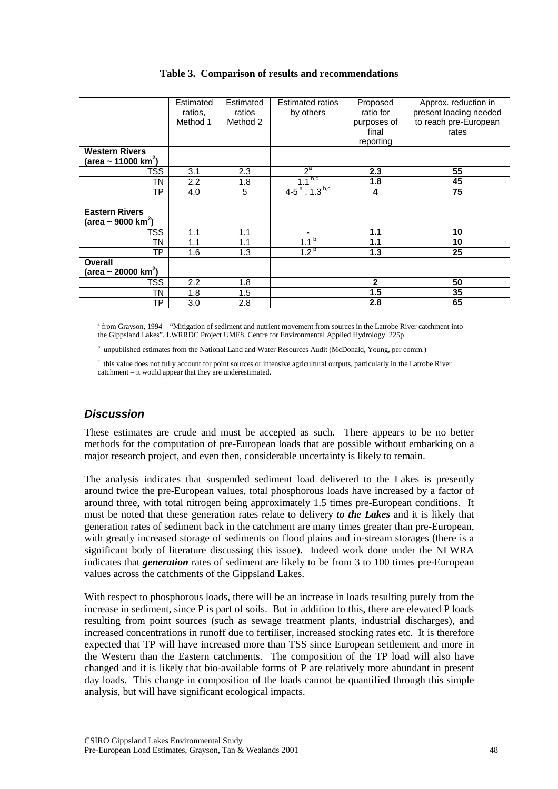<span id="page-47-0"></span>

|                                 | Estimated | Estimated | <b>Estimated ratios</b>      | Proposed     | Approx. reduction in   |
|---------------------------------|-----------|-----------|------------------------------|--------------|------------------------|
|                                 | ratios,   | ratios    | by others                    | ratio for    | present loading needed |
|                                 | Method 1  | Method 2  |                              | purposes of  | to reach pre-European  |
|                                 |           |           |                              | final        | rates                  |
|                                 |           |           |                              | reporting    |                        |
| <b>Western Rivers</b>           |           |           |                              |              |                        |
| (area ~ 11000 km <sup>2</sup> ) |           |           |                              |              |                        |
| TSS                             | 3.1       | 2.3       | $2^a$                        | 2.3          | 55                     |
| ΤN                              | 2.2       | 1.8       | b,c<br>1.1                   | 1.8          | 45                     |
| ТP                              | 4.0       | 5         | $4-5^a$ , 1.3 <sup>b,c</sup> | 4            | 75                     |
|                                 |           |           |                              |              |                        |
| <b>Eastern Rivers</b>           |           |           |                              |              |                        |
| (area ~ 9000 km <sup>2</sup> )  |           |           |                              |              |                        |
| TSS                             | 1.1       | 1.1       | ٠                            | 1.1          | 10                     |
| TN                              | 1.1       | 1.1       | $1.1^{b}$                    | 1.1          | 10                     |
| ТP                              | 1.6       | 1.3       | 1.2 <sup>b</sup>             | 1.3          | 25                     |
| Overall                         |           |           |                              |              |                        |
| (area ~ 20000 km <sup>2</sup> ) |           |           |                              |              |                        |
| TSS                             | 2.2       | 1.8       |                              | $\mathbf{2}$ | 50                     |
| TN                              | 1.8       | 1.5       |                              | 1.5          | 35                     |
| TΡ                              | 3.0       | 2.8       |                              | 2.8          | 65                     |

### **Table 3. Comparison of results and recommendations**

<sup>a</sup> from Grayson, 1994 – "Mitigation of sediment and nutrient movement from sources in the Latrobe River catchment into the Gippsland Lakes". LWRRDC Project UME8. Centre for Environmental Applied Hydrology. 225p

<sup>b</sup> unpublished estimates from the National Land and Water Resources Audit (McDonald, Young, per comm.)

c this value does not fully account for point sources or intensive agricultural outputs, particularly in the Latrobe River catchment – it would appear that they are underestimated.

# *Discussion*

These estimates are crude and must be accepted as such. There appears to be no better methods for the computation of pre-European loads that are possible without embarking on a major research project, and even then, considerable uncertainty is likely to remain.

The analysis indicates that suspended sediment load delivered to the Lakes is presently around twice the pre-European values, total phosphorous loads have increased by a factor of around three, with total nitrogen being approximately 1.5 times pre-European conditions. It must be noted that these generation rates relate to delivery *to the Lakes* and it is likely that generation rates of sediment back in the catchment are many times greater than pre-European, with greatly increased storage of sediments on flood plains and in-stream storages (there is a significant body of literature discussing this issue). Indeed work done under the NLWRA indicates that *generation* rates of sediment are likely to be from 3 to 100 times pre-European values across the catchments of the Gippsland Lakes.

With respect to phosphorous loads, there will be an increase in loads resulting purely from the increase in sediment, since P is part of soils. But in addition to this, there are elevated P loads resulting from point sources (such as sewage treatment plants, industrial discharges), and increased concentrations in runoff due to fertiliser, increased stocking rates etc. It is therefore expected that TP will have increased more than TSS since European settlement and more in the Western than the Eastern catchments. The composition of the TP load will also have changed and it is likely that bio-available forms of P are relatively more abundant in present day loads. This change in composition of the loads cannot be quantified through this simple analysis, but will have significant ecological impacts.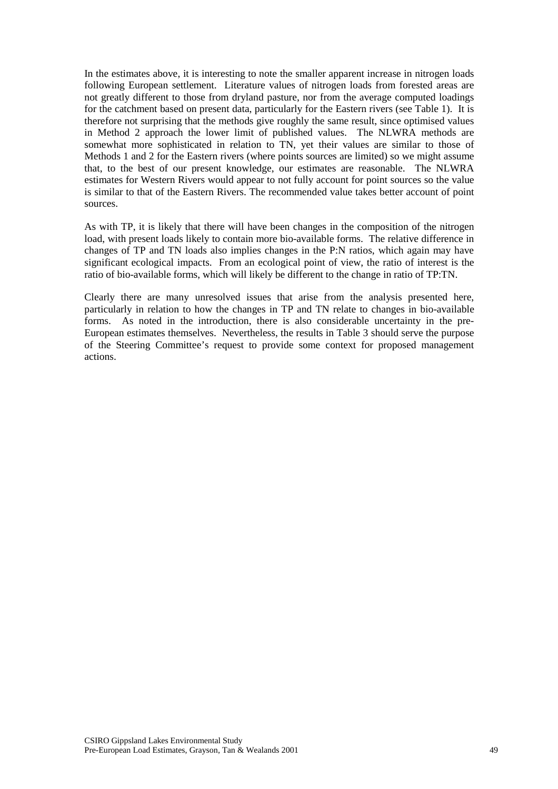In the estimates above, it is interesting to note the smaller apparent increase in nitrogen loads following European settlement. Literature values of nitrogen loads from forested areas are not greatly different to those from dryland pasture, nor from the average computed loadings for the catchment based on present data, particularly for the Eastern rivers (see Table 1). It is therefore not surprising that the methods give roughly the same result, since optimised values in Method 2 approach the lower limit of published values. The NLWRA methods are somewhat more sophisticated in relation to TN, yet their values are similar to those of Methods 1 and 2 for the Eastern rivers (where points sources are limited) so we might assume that, to the best of our present knowledge, our estimates are reasonable. The NLWRA estimates for Western Rivers would appear to not fully account for point sources so the value is similar to that of the Eastern Rivers. The recommended value takes better account of point sources.

As with TP, it is likely that there will have been changes in the composition of the nitrogen load, with present loads likely to contain more bio-available forms. The relative difference in changes of TP and TN loads also implies changes in the P:N ratios, which again may have significant ecological impacts. From an ecological point of view, the ratio of interest is the ratio of bio-available forms, which will likely be different to the change in ratio of TP:TN.

Clearly there are many unresolved issues that arise from the analysis presented here, particularly in relation to how the changes in TP and TN relate to changes in bio-available forms. As noted in the introduction, there is also considerable uncertainty in the pre-European estimates themselves. Nevertheless, the results in Table 3 should serve the purpose of the Steering Committee's request to provide some context for proposed management actions.